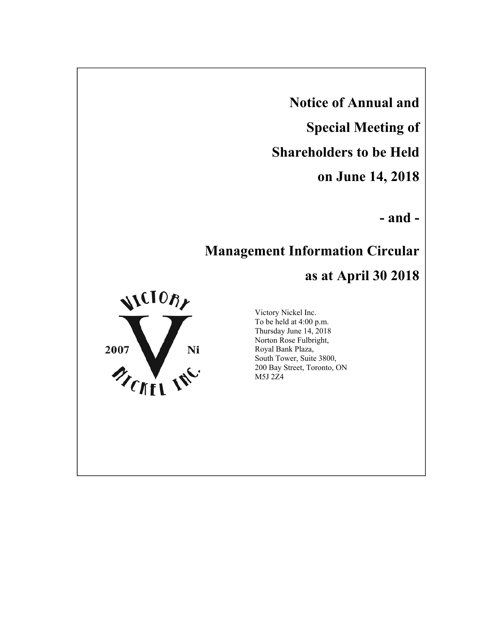**Notice of Annual and** 

**Special Meeting of** 

**Shareholders to be Held** 

**on June 14, 2018**

**- and -**

# **Management Information Circular**

# **as at April 30 2018**



Victory Nickel Inc. To be held at 4:00 p.m. Thursday June 14, 2018 Norton Rose Fulbright, Royal Bank Plaza, South Tower, Suite 3800, 200 Bay Street, Toronto, ON M5J 2Z4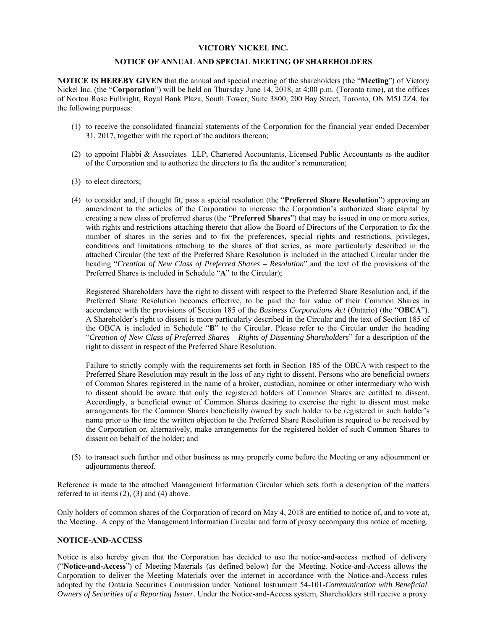## **VICTORY NICKEL INC.**

## **NOTICE OF ANNUAL AND SPECIAL MEETING OF SHAREHOLDERS**

**NOTICE IS HEREBY GIVEN** that the annual and special meeting of the shareholders (the "**Meeting**") of Victory Nickel Inc. (the "**Corporation**") will be held on Thursday June 14, 2018, at 4:00 p.m. (Toronto time), at the offices of Norton Rose Fulbright, Royal Bank Plaza, South Tower, Suite 3800, 200 Bay Street, Toronto, ON M5J 2Z4, for the following purposes:

- (1) to receive the consolidated financial statements of the Corporation for the financial year ended December 31, 2017, together with the report of the auditors thereon;
- (2) to appoint Flabbi & Associates LLP, Chartered Accountants, Licensed Public Accountants as the auditor of the Corporation and to authorize the directors to fix the auditor's remuneration;
- (3) to elect directors;
- (4) to consider and, if thought fit, pass a special resolution (the "**Preferred Share Resolution**") approving an amendment to the articles of the Corporation to increase the Corporation's authorized share capital by creating a new class of preferred shares (the "**Preferred Shares**") that may be issued in one or more series, with rights and restrictions attaching thereto that allow the Board of Directors of the Corporation to fix the number of shares in the series and to fix the preferences, special rights and restrictions, privileges, conditions and limitations attaching to the shares of that series, as more particularly described in the attached Circular (the text of the Preferred Share Resolution is included in the attached Circular under the heading "*Creation of New Class of Preferred Shares – Resolution*" and the text of the provisions of the Preferred Shares is included in Schedule "**A**" to the Circular);

Registered Shareholders have the right to dissent with respect to the Preferred Share Resolution and, if the Preferred Share Resolution becomes effective, to be paid the fair value of their Common Shares in accordance with the provisions of Section 185 of the *Business Corporations Act* (Ontario) (the "**OBCA**"). A Shareholder's right to dissent is more particularly described in the Circular and the text of Section 185 of the OBCA is included in Schedule "**B**" to the Circular. Please refer to the Circular under the heading "*Creation of New Class of Preferred Shares* – *Rights of Dissenting Shareholders*" for a description of the right to dissent in respect of the Preferred Share Resolution.

Failure to strictly comply with the requirements set forth in Section 185 of the OBCA with respect to the Preferred Share Resolution may result in the loss of any right to dissent. Persons who are beneficial owners of Common Shares registered in the name of a broker, custodian, nominee or other intermediary who wish to dissent should be aware that only the registered holders of Common Shares are entitled to dissent. Accordingly, a beneficial owner of Common Shares desiring to exercise the right to dissent must make arrangements for the Common Shares beneficially owned by such holder to be registered in such holder's name prior to the time the written objection to the Preferred Share Resolution is required to be received by the Corporation or, alternatively, make arrangements for the registered holder of such Common Shares to dissent on behalf of the holder; and

(5) to transact such further and other business as may properly come before the Meeting or any adjournment or adjournments thereof.

Reference is made to the attached Management Information Circular which sets forth a description of the matters referred to in items (2), (3) and (4) above.

Only holders of common shares of the Corporation of record on May 4, 2018 are entitled to notice of, and to vote at, the Meeting. A copy of the Management Information Circular and form of proxy accompany this notice of meeting.

## **NOTICE-AND-ACCESS**

Notice is also hereby given that the Corporation has decided to use the notice-and-access method of delivery ("**Notice-and-Access**") of Meeting Materials (as defined below) for the Meeting. Notice-and-Access allows the Corporation to deliver the Meeting Materials over the internet in accordance with the Notice-and-Access rules adopted by the Ontario Securities Commission under National Instrument 54-101-*Communication with Beneficial Owners of Securities of a Reporting Issuer*. Under the Notice-and-Access system, Shareholders still receive a proxy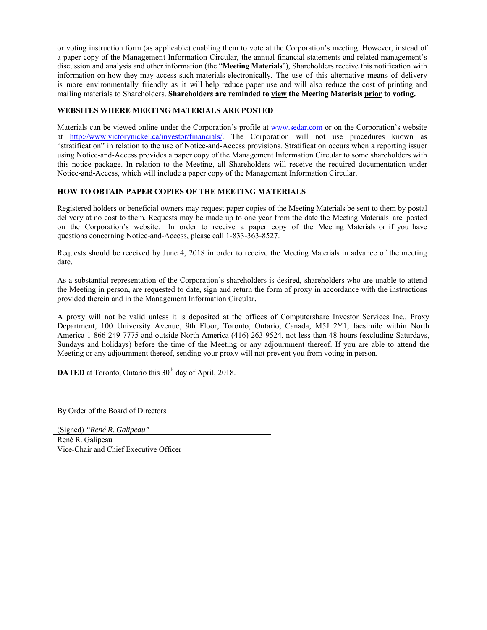or voting instruction form (as applicable) enabling them to vote at the Corporation's meeting. However, instead of a paper copy of the Management Information Circular, the annual financial statements and related management's discussion and analysis and other information (the "**Meeting Materials**"), Shareholders receive this notification with information on how they may access such materials electronically. The use of this alternative means of delivery is more environmentally friendly as it will help reduce paper use and will also reduce the cost of printing and mailing materials to Shareholders. **Shareholders are reminded to view the Meeting Materials prior to voting.**

## **WEBSITES WHERE MEETING MATERIALS ARE POSTED**

Materials can be viewed online under the Corporation's profile at www.sedar.com or on the Corporation's website at http://www.victorynickel.ca/investor/financials/. The Corporation will not use procedures known as "stratification" in relation to the use of Notice-and-Access provisions. Stratification occurs when a reporting issuer using Notice-and-Access provides a paper copy of the Management Information Circular to some shareholders with this notice package. In relation to the Meeting, all Shareholders will receive the required documentation under Notice-and-Access, which will include a paper copy of the Management Information Circular.

## **HOW TO OBTAIN PAPER COPIES OF THE MEETING MATERIALS**

Registered holders or beneficial owners may request paper copies of the Meeting Materials be sent to them by postal delivery at no cost to them. Requests may be made up to one year from the date the Meeting Materials are posted on the Corporation's website. In order to receive a paper copy of the Meeting Materials or if you have questions concerning Notice-and-Access, please call 1-833-363-8527.

Requests should be received by June 4, 2018 in order to receive the Meeting Materials in advance of the meeting date.

As a substantial representation of the Corporation's shareholders is desired, shareholders who are unable to attend the Meeting in person, are requested to date, sign and return the form of proxy in accordance with the instructions provided therein and in the Management Information Circular**.** 

A proxy will not be valid unless it is deposited at the offices of Computershare Investor Services Inc., Proxy Department, 100 University Avenue, 9th Floor, Toronto, Ontario, Canada, M5J 2Y1, facsimile within North America 1-866-249-7775 and outside North America (416) 263-9524, not less than 48 hours (excluding Saturdays, Sundays and holidays) before the time of the Meeting or any adjournment thereof. If you are able to attend the Meeting or any adjournment thereof, sending your proxy will not prevent you from voting in person.

**DATED** at Toronto, Ontario this 30<sup>th</sup> day of April, 2018.

By Order of the Board of Directors

(Signed) *"René R. Galipeau"*

René R. Galipeau Vice-Chair and Chief Executive Officer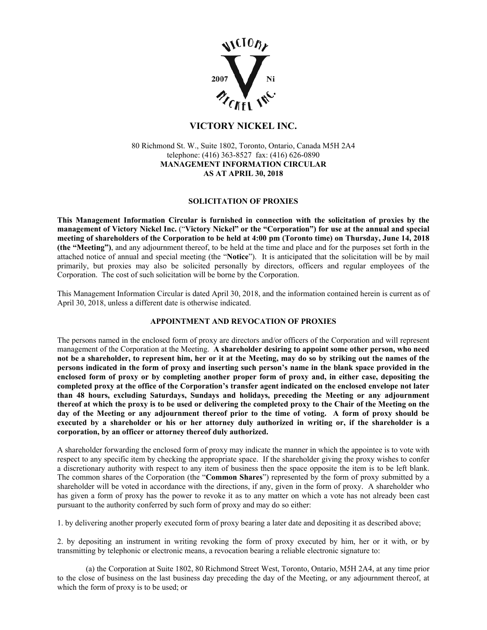

# **VICTORY NICKEL INC.**

80 Richmond St. W., Suite 1802, Toronto, Ontario, Canada M5H 2A4 telephone: (416) 363-8527 fax: (416) 626-0890 **MANAGEMENT INFORMATION CIRCULAR AS AT APRIL 30, 2018** 

## **SOLICITATION OF PROXIES**

**This Management Information Circular is furnished in connection with the solicitation of proxies by the management of Victory Nickel Inc.** ("**Victory Nickel" or the "Corporation") for use at the annual and special meeting of shareholders of the Corporation to be held at 4:00 pm (Toronto time) on Thursday, June 14, 2018 (the "Meeting")**, and any adjournment thereof, to be held at the time and place and for the purposes set forth in the attached notice of annual and special meeting (the "**Notice**"). It is anticipated that the solicitation will be by mail primarily, but proxies may also be solicited personally by directors, officers and regular employees of the Corporation. The cost of such solicitation will be borne by the Corporation.

This Management Information Circular is dated April 30, 2018, and the information contained herein is current as of April 30, 2018, unless a different date is otherwise indicated.

## **APPOINTMENT AND REVOCATION OF PROXIES**

The persons named in the enclosed form of proxy are directors and/or officers of the Corporation and will represent management of the Corporation at the Meeting. **A shareholder desiring to appoint some other person, who need not be a shareholder, to represent him, her or it at the Meeting, may do so by striking out the names of the persons indicated in the form of proxy and inserting such person's name in the blank space provided in the enclosed form of proxy or by completing another proper form of proxy and, in either case, depositing the completed proxy at the office of the Corporation's transfer agent indicated on the enclosed envelope not later than 48 hours, excluding Saturdays, Sundays and holidays, preceding the Meeting or any adjournment thereof at which the proxy is to be used or delivering the completed proxy to the Chair of the Meeting on the day of the Meeting or any adjournment thereof prior to the time of voting. A form of proxy should be executed by a shareholder or his or her attorney duly authorized in writing or, if the shareholder is a corporation, by an officer or attorney thereof duly authorized.**

A shareholder forwarding the enclosed form of proxy may indicate the manner in which the appointee is to vote with respect to any specific item by checking the appropriate space. If the shareholder giving the proxy wishes to confer a discretionary authority with respect to any item of business then the space opposite the item is to be left blank. The common shares of the Corporation (the "**Common Shares**") represented by the form of proxy submitted by a shareholder will be voted in accordance with the directions, if any, given in the form of proxy. A shareholder who has given a form of proxy has the power to revoke it as to any matter on which a vote has not already been cast pursuant to the authority conferred by such form of proxy and may do so either:

1. by delivering another properly executed form of proxy bearing a later date and depositing it as described above;

2. by depositing an instrument in writing revoking the form of proxy executed by him, her or it with, or by transmitting by telephonic or electronic means, a revocation bearing a reliable electronic signature to:

(a) the Corporation at Suite 1802, 80 Richmond Street West, Toronto, Ontario, M5H 2A4, at any time prior to the close of business on the last business day preceding the day of the Meeting, or any adjournment thereof, at which the form of proxy is to be used; or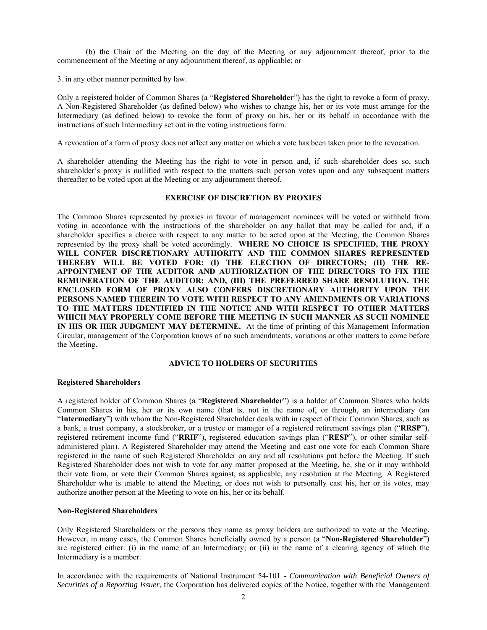(b) the Chair of the Meeting on the day of the Meeting or any adjournment thereof, prior to the commencement of the Meeting or any adjournment thereof, as applicable; or

3. in any other manner permitted by law.

Only a registered holder of Common Shares (a "**Registered Shareholder**") has the right to revoke a form of proxy. A Non-Registered Shareholder (as defined below) who wishes to change his, her or its vote must arrange for the Intermediary (as defined below) to revoke the form of proxy on his, her or its behalf in accordance with the instructions of such Intermediary set out in the voting instructions form.

A revocation of a form of proxy does not affect any matter on which a vote has been taken prior to the revocation.

A shareholder attending the Meeting has the right to vote in person and, if such shareholder does so, such shareholder's proxy is nullified with respect to the matters such person votes upon and any subsequent matters thereafter to be voted upon at the Meeting or any adjournment thereof.

## **EXERCISE OF DISCRETION BY PROXIES**

The Common Shares represented by proxies in favour of management nominees will be voted or withheld from voting in accordance with the instructions of the shareholder on any ballot that may be called for and, if a shareholder specifies a choice with respect to any matter to be acted upon at the Meeting, the Common Shares represented by the proxy shall be voted accordingly. **WHERE NO CHOICE IS SPECIFIED, THE PROXY WILL CONFER DISCRETIONARY AUTHORITY AND THE COMMON SHARES REPRESENTED THEREBY WILL BE VOTED FOR: (I) THE ELECTION OF DIRECTORS; (II) THE RE-APPOINTMENT OF THE AUDITOR AND AUTHORIZATION OF THE DIRECTORS TO FIX THE REMUNERATION OF THE AUDITOR; AND, (III) THE PREFERRED SHARE RESOLUTION. THE ENCLOSED FORM OF PROXY ALSO CONFERS DISCRETIONARY AUTHORITY UPON THE PERSONS NAMED THEREIN TO VOTE WITH RESPECT TO ANY AMENDMENTS OR VARIATIONS TO THE MATTERS IDENTIFIED IN THE NOTICE AND WITH RESPECT TO OTHER MATTERS WHICH MAY PROPERLY COME BEFORE THE MEETING IN SUCH MANNER AS SUCH NOMINEE IN HIS OR HER JUDGMENT MAY DETERMINE.** At the time of printing of this Management Information Circular, management of the Corporation knows of no such amendments, variations or other matters to come before the Meeting.

## **ADVICE TO HOLDERS OF SECURITIES**

## **Registered Shareholders**

A registered holder of Common Shares (a "**Registered Shareholder**") is a holder of Common Shares who holds Common Shares in his, her or its own name (that is, not in the name of, or through, an intermediary (an "**Intermediary**") with whom the Non-Registered Shareholder deals with in respect of their Common Shares, such as a bank, a trust company, a stockbroker, or a trustee or manager of a registered retirement savings plan ("**RRSP**"), registered retirement income fund ("**RRIF**"), registered education savings plan ("**RESP**"), or other similar selfadministered plan). A Registered Shareholder may attend the Meeting and cast one vote for each Common Share registered in the name of such Registered Shareholder on any and all resolutions put before the Meeting. If such Registered Shareholder does not wish to vote for any matter proposed at the Meeting, he, she or it may withhold their vote from, or vote their Common Shares against, as applicable, any resolution at the Meeting. A Registered Shareholder who is unable to attend the Meeting, or does not wish to personally cast his, her or its votes, may authorize another person at the Meeting to vote on his, her or its behalf.

## **Non-Registered Shareholders**

Only Registered Shareholders or the persons they name as proxy holders are authorized to vote at the Meeting. However, in many cases, the Common Shares beneficially owned by a person (a "**Non-Registered Shareholder**") are registered either: (i) in the name of an Intermediary; or (ii) in the name of a clearing agency of which the Intermediary is a member.

In accordance with the requirements of National Instrument 54-101 - *Communication with Beneficial Owners of Securities of a Reporting Issuer*, the Corporation has delivered copies of the Notice, together with the Management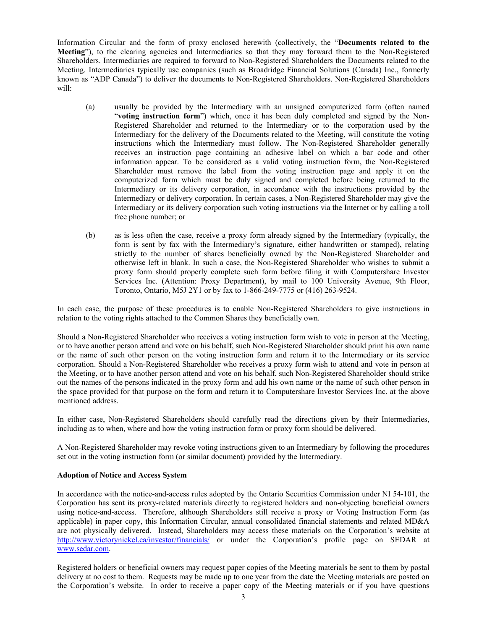Information Circular and the form of proxy enclosed herewith (collectively, the "**Documents related to the Meeting**"), to the clearing agencies and Intermediaries so that they may forward them to the Non-Registered Shareholders. Intermediaries are required to forward to Non-Registered Shareholders the Documents related to the Meeting. Intermediaries typically use companies (such as Broadridge Financial Solutions (Canada) Inc., formerly known as "ADP Canada") to deliver the documents to Non-Registered Shareholders. Non-Registered Shareholders will:

- (a) usually be provided by the Intermediary with an unsigned computerized form (often named "**voting instruction form**") which, once it has been duly completed and signed by the Non-Registered Shareholder and returned to the Intermediary or to the corporation used by the Intermediary for the delivery of the Documents related to the Meeting, will constitute the voting instructions which the Intermediary must follow. The Non-Registered Shareholder generally receives an instruction page containing an adhesive label on which a bar code and other information appear. To be considered as a valid voting instruction form, the Non-Registered Shareholder must remove the label from the voting instruction page and apply it on the computerized form which must be duly signed and completed before being returned to the Intermediary or its delivery corporation, in accordance with the instructions provided by the Intermediary or delivery corporation. In certain cases, a Non-Registered Shareholder may give the Intermediary or its delivery corporation such voting instructions via the Internet or by calling a toll free phone number; or
- (b) as is less often the case, receive a proxy form already signed by the Intermediary (typically, the form is sent by fax with the Intermediary's signature, either handwritten or stamped), relating strictly to the number of shares beneficially owned by the Non-Registered Shareholder and otherwise left in blank. In such a case, the Non-Registered Shareholder who wishes to submit a proxy form should properly complete such form before filing it with Computershare Investor Services Inc. (Attention: Proxy Department), by mail to 100 University Avenue, 9th Floor, Toronto, Ontario, M5J 2Y1 or by fax to 1-866-249-7775 or (416) 263-9524.

In each case, the purpose of these procedures is to enable Non-Registered Shareholders to give instructions in relation to the voting rights attached to the Common Shares they beneficially own.

Should a Non-Registered Shareholder who receives a voting instruction form wish to vote in person at the Meeting, or to have another person attend and vote on his behalf, such Non-Registered Shareholder should print his own name or the name of such other person on the voting instruction form and return it to the Intermediary or its service corporation. Should a Non-Registered Shareholder who receives a proxy form wish to attend and vote in person at the Meeting, or to have another person attend and vote on his behalf, such Non-Registered Shareholder should strike out the names of the persons indicated in the proxy form and add his own name or the name of such other person in the space provided for that purpose on the form and return it to Computershare Investor Services Inc. at the above mentioned address.

In either case, Non-Registered Shareholders should carefully read the directions given by their Intermediaries, including as to when, where and how the voting instruction form or proxy form should be delivered.

A Non-Registered Shareholder may revoke voting instructions given to an Intermediary by following the procedures set out in the voting instruction form (or similar document) provided by the Intermediary.

## **Adoption of Notice and Access System**

In accordance with the notice-and-access rules adopted by the Ontario Securities Commission under NI 54-101*,* the Corporation has sent its proxy-related materials directly to registered holders and non-objecting beneficial owners using notice-and-access. Therefore, although Shareholders still receive a proxy or Voting Instruction Form (as applicable) in paper copy, this Information Circular, annual consolidated financial statements and related MD&A are not physically delivered. Instead, Shareholders may access these materials on the Corporation's website at http://www.victorynickel.ca/investor/financials/ or under the Corporation's profile page on SEDAR at www.sedar.com.

Registered holders or beneficial owners may request paper copies of the Meeting materials be sent to them by postal delivery at no cost to them. Requests may be made up to one year from the date the Meeting materials are posted on the Corporation's website. In order to receive a paper copy of the Meeting materials or if you have questions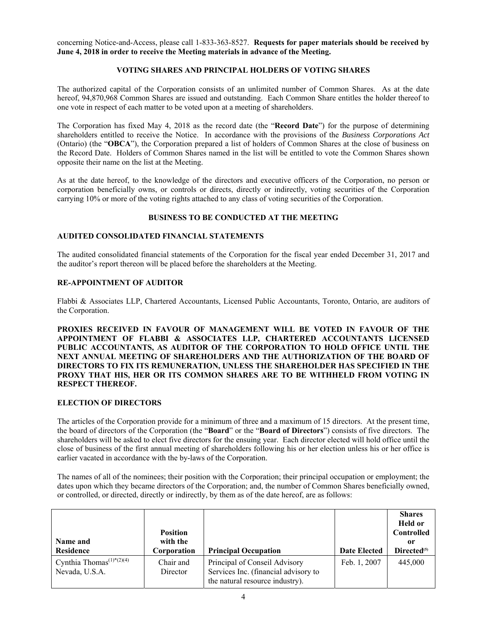concerning Notice-and-Access, please call 1-833-363-8527. **Requests for paper materials should be received by June 4, 2018 in order to receive the Meeting materials in advance of the Meeting.** 

# **VOTING SHARES AND PRINCIPAL HOLDERS OF VOTING SHARES**

The authorized capital of the Corporation consists of an unlimited number of Common Shares. As at the date hereof, 94,870,968 Common Shares are issued and outstanding. Each Common Share entitles the holder thereof to one vote in respect of each matter to be voted upon at a meeting of shareholders.

The Corporation has fixed May 4, 2018 as the record date (the "**Record Date**") for the purpose of determining shareholders entitled to receive the Notice. In accordance with the provisions of the *Business Corporations Act* (Ontario) (the "**OBCA**"), the Corporation prepared a list of holders of Common Shares at the close of business on the Record Date. Holders of Common Shares named in the list will be entitled to vote the Common Shares shown opposite their name on the list at the Meeting.

As at the date hereof, to the knowledge of the directors and executive officers of the Corporation, no person or corporation beneficially owns, or controls or directs, directly or indirectly, voting securities of the Corporation carrying 10% or more of the voting rights attached to any class of voting securities of the Corporation.

## **BUSINESS TO BE CONDUCTED AT THE MEETING**

## **AUDITED CONSOLIDATED FINANCIAL STATEMENTS**

The audited consolidated financial statements of the Corporation for the fiscal year ended December 31, 2017 and the auditor's report thereon will be placed before the shareholders at the Meeting.

## **RE-APPOINTMENT OF AUDITOR**

Flabbi & Associates LLP, Chartered Accountants, Licensed Public Accountants, Toronto, Ontario, are auditors of the Corporation.

**PROXIES RECEIVED IN FAVOUR OF MANAGEMENT WILL BE VOTED IN FAVOUR OF THE APPOINTMENT OF FLABBI & ASSOCIATES LLP, CHARTERED ACCOUNTANTS LICENSED PUBLIC ACCOUNTANTS, AS AUDITOR OF THE CORPORATION TO HOLD OFFICE UNTIL THE NEXT ANNUAL MEETING OF SHAREHOLDERS AND THE AUTHORIZATION OF THE BOARD OF DIRECTORS TO FIX ITS REMUNERATION, UNLESS THE SHAREHOLDER HAS SPECIFIED IN THE PROXY THAT HIS, HER OR ITS COMMON SHARES ARE TO BE WITHHELD FROM VOTING IN RESPECT THEREOF.** 

## **ELECTION OF DIRECTORS**

The articles of the Corporation provide for a minimum of three and a maximum of 15 directors. At the present time, the board of directors of the Corporation (the "**Board**" or the "**Board of Directors**") consists of five directors. The shareholders will be asked to elect five directors for the ensuing year. Each director elected will hold office until the close of business of the first annual meeting of shareholders following his or her election unless his or her office is earlier vacated in accordance with the by-laws of the Corporation.

The names of all of the nominees; their position with the Corporation; their principal occupation or employment; the dates upon which they became directors of the Corporation; and, the number of Common Shares beneficially owned, or controlled, or directed, directly or indirectly, by them as of the date hereof, are as follows:

| Name and                                                                         | <b>Position</b><br>with the |                                                                                                          |                     | <b>Shares</b><br><b>Held or</b><br><b>Controlled</b><br>0r |
|----------------------------------------------------------------------------------|-----------------------------|----------------------------------------------------------------------------------------------------------|---------------------|------------------------------------------------------------|
| <b>Residence</b>                                                                 | Corporation                 | <b>Principal Occupation</b>                                                                              | <b>Date Elected</b> | Directed <sup>(5)</sup>                                    |
| Cynthia Thomas <sup><math>(1)</math>*<math>(2)(4)</math></sup><br>Nevada, U.S.A. | Chair and<br>Director       | Principal of Conseil Advisory<br>Services Inc. (financial advisory to<br>the natural resource industry). | Feb. 1, 2007        | 445,000                                                    |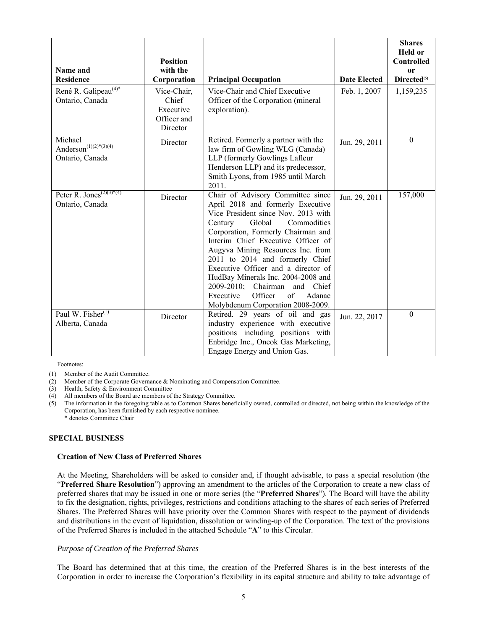| Name and<br><b>Residence</b>                                | <b>Position</b><br>with the<br>Corporation                   | <b>Principal Occupation</b>                                                                                                                                                                                                                                                                                                                                                                                                                                                                      | <b>Date Elected</b> | <b>Shares</b><br><b>Held or</b><br><b>Controlled</b><br><b>or</b><br>Directed <sup>(5)</sup> |
|-------------------------------------------------------------|--------------------------------------------------------------|--------------------------------------------------------------------------------------------------------------------------------------------------------------------------------------------------------------------------------------------------------------------------------------------------------------------------------------------------------------------------------------------------------------------------------------------------------------------------------------------------|---------------------|----------------------------------------------------------------------------------------------|
| René R. Galipeau <sup>(4)*</sup><br>Ontario, Canada         | Vice-Chair,<br>Chief<br>Executive<br>Officer and<br>Director | Vice-Chair and Chief Executive<br>Officer of the Corporation (mineral<br>exploration).                                                                                                                                                                                                                                                                                                                                                                                                           | Feb. 1, 2007        | 1,159,235                                                                                    |
| Michael<br>Anderson $(1)(2)*(3)(4)$<br>Ontario, Canada      | Director                                                     | Retired. Formerly a partner with the<br>law firm of Gowling WLG (Canada)<br>LLP (formerly Gowlings Lafleur<br>Henderson LLP) and its predecessor,<br>Smith Lyons, from 1985 until March<br>2011.                                                                                                                                                                                                                                                                                                 | Jun. 29, 2011       | $\boldsymbol{0}$                                                                             |
| Peter R. $\overline{Jones^{(2)(3)*(4)}}$<br>Ontario, Canada | Director                                                     | Chair of Advisory Committee since<br>April 2018 and formerly Executive<br>Vice President since Nov. 2013 with<br>Century<br>Global<br>Commodities<br>Corporation, Formerly Chairman and<br>Interim Chief Executive Officer of<br>Augyva Mining Resources Inc. from<br>2011 to 2014 and formerly Chief<br>Executive Officer and a director of<br>HudBay Minerals Inc. 2004-2008 and<br>2009-2010; Chairman and Chief<br>Executive<br>Officer<br>of<br>Adanac<br>Molybdenum Corporation 2008-2009. | Jun. 29, 2011       | 157,000                                                                                      |
| Paul W. Fisher <sup>(1)</sup><br>Alberta, Canada            | Director                                                     | Retired. 29 years of oil and gas<br>industry experience with executive<br>positions including positions with<br>Enbridge Inc., Oneok Gas Marketing,<br>Engage Energy and Union Gas.                                                                                                                                                                                                                                                                                                              | Jun. 22, 2017       | $\boldsymbol{0}$                                                                             |

Footnotes:

(1) Member of the Audit Committee.

(2) Member of the Corporate Governance & Nominating and Compensation Committee.

(3) Health, Safety & Environment Committee

(4) All members of the Board are members of the Strategy Committee.<br>
(5) The information in the foregoing table as to Common Shares benef The information in the foregoing table as to Common Shares beneficially owned, controlled or directed, not being within the knowledge of the Corporation, has been furnished by each respective nominee. \* denotes Committee Chair

## **SPECIAL BUSINESS**

## **Creation of New Class of Preferred Shares**

At the Meeting, Shareholders will be asked to consider and, if thought advisable, to pass a special resolution (the "**Preferred Share Resolution**") approving an amendment to the articles of the Corporation to create a new class of preferred shares that may be issued in one or more series (the "**Preferred Shares**"). The Board will have the ability to fix the designation, rights, privileges, restrictions and conditions attaching to the shares of each series of Preferred Shares. The Preferred Shares will have priority over the Common Shares with respect to the payment of dividends and distributions in the event of liquidation, dissolution or winding-up of the Corporation. The text of the provisions of the Preferred Shares is included in the attached Schedule "**A**" to this Circular.

## *Purpose of Creation of the Preferred Shares*

The Board has determined that at this time, the creation of the Preferred Shares is in the best interests of the Corporation in order to increase the Corporation's flexibility in its capital structure and ability to take advantage of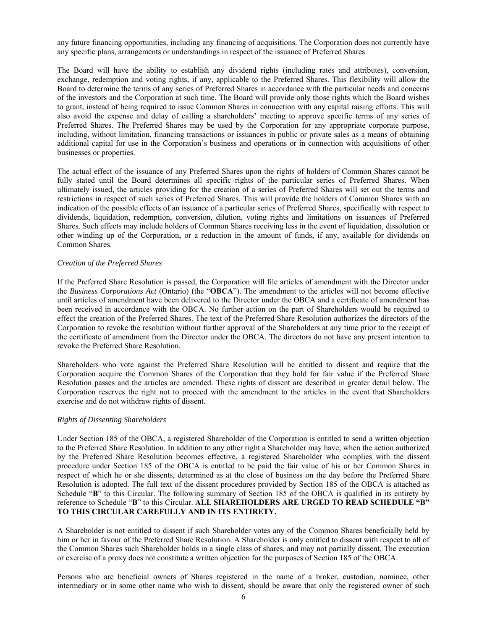any future financing opportunities, including any financing of acquisitions. The Corporation does not currently have any specific plans, arrangements or understandings in respect of the issuance of Preferred Shares.

The Board will have the ability to establish any dividend rights (including rates and attributes), conversion, exchange, redemption and voting rights, if any, applicable to the Preferred Shares. This flexibility will allow the Board to determine the terms of any series of Preferred Shares in accordance with the particular needs and concerns of the investors and the Corporation at such time. The Board will provide only those rights which the Board wishes to grant, instead of being required to issue Common Shares in connection with any capital raising efforts. This will also avoid the expense and delay of calling a shareholders' meeting to approve specific terms of any series of Preferred Shares. The Preferred Shares may be used by the Corporation for any appropriate corporate purpose, including, without limitation, financing transactions or issuances in public or private sales as a means of obtaining additional capital for use in the Corporation's business and operations or in connection with acquisitions of other businesses or properties.

The actual effect of the issuance of any Preferred Shares upon the rights of holders of Common Shares cannot be fully stated until the Board determines all specific rights of the particular series of Preferred Shares. When ultimately issued, the articles providing for the creation of a series of Preferred Shares will set out the terms and restrictions in respect of such series of Preferred Shares. This will provide the holders of Common Shares with an indication of the possible effects of an issuance of a particular series of Preferred Shares, specifically with respect to dividends, liquidation, redemption, conversion, dilution, voting rights and limitations on issuances of Preferred Shares. Such effects may include holders of Common Shares receiving less in the event of liquidation, dissolution or other winding up of the Corporation, or a reduction in the amount of funds, if any, available for dividends on Common Shares.

## *Creation of the Preferred Shares*

If the Preferred Share Resolution is passed, the Corporation will file articles of amendment with the Director under the *Business Corporations Act* (Ontario) (the "**OBCA**"). The amendment to the articles will not become effective until articles of amendment have been delivered to the Director under the OBCA and a certificate of amendment has been received in accordance with the OBCA. No further action on the part of Shareholders would be required to effect the creation of the Preferred Shares. The text of the Preferred Share Resolution authorizes the directors of the Corporation to revoke the resolution without further approval of the Shareholders at any time prior to the receipt of the certificate of amendment from the Director under the OBCA. The directors do not have any present intention to revoke the Preferred Share Resolution.

Shareholders who vote against the Preferred Share Resolution will be entitled to dissent and require that the Corporation acquire the Common Shares of the Corporation that they hold for fair value if the Preferred Share Resolution passes and the articles are amended. These rights of dissent are described in greater detail below. The Corporation reserves the right not to proceed with the amendment to the articles in the event that Shareholders exercise and do not withdraw rights of dissent.

## *Rights of Dissenting Shareholders*

Under Section 185 of the OBCA, a registered Shareholder of the Corporation is entitled to send a written objection to the Preferred Share Resolution. In addition to any other right a Shareholder may have, when the action authorized by the Preferred Share Resolution becomes effective, a registered Shareholder who complies with the dissent procedure under Section 185 of the OBCA is entitled to be paid the fair value of his or her Common Shares in respect of which he or she dissents, determined as at the close of business on the day before the Preferred Share Resolution is adopted. The full text of the dissent procedures provided by Section 185 of the OBCA is attached as Schedule "**B**" to this Circular. The following summary of Section 185 of the OBCA is qualified in its entirety by reference to Schedule "**B**" to this Circular. **ALL SHAREHOLDERS ARE URGED TO READ SCHEDULE "B" TO THIS CIRCULAR CAREFULLY AND IN ITS ENTIRETY.**

A Shareholder is not entitled to dissent if such Shareholder votes any of the Common Shares beneficially held by him or her in favour of the Preferred Share Resolution. A Shareholder is only entitled to dissent with respect to all of the Common Shares such Shareholder holds in a single class of shares, and may not partially dissent. The execution or exercise of a proxy does not constitute a written objection for the purposes of Section 185 of the OBCA.

Persons who are beneficial owners of Shares registered in the name of a broker, custodian, nominee, other intermediary or in some other name who wish to dissent, should be aware that only the registered owner of such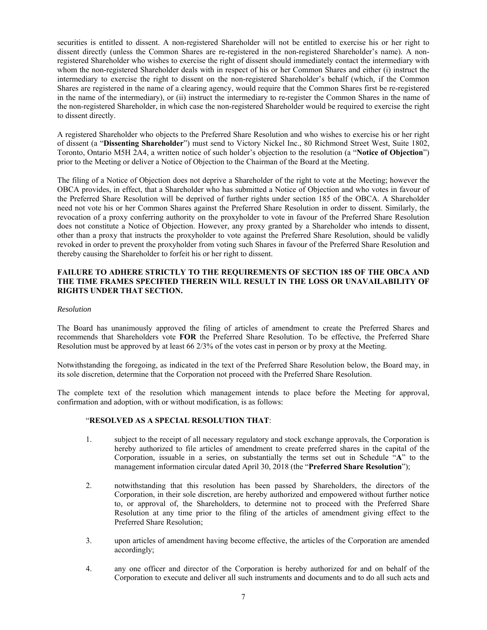securities is entitled to dissent. A non-registered Shareholder will not be entitled to exercise his or her right to dissent directly (unless the Common Shares are re-registered in the non-registered Shareholder's name). A nonregistered Shareholder who wishes to exercise the right of dissent should immediately contact the intermediary with whom the non-registered Shareholder deals with in respect of his or her Common Shares and either (i) instruct the intermediary to exercise the right to dissent on the non-registered Shareholder's behalf (which, if the Common Shares are registered in the name of a clearing agency, would require that the Common Shares first be re-registered in the name of the intermediary), or (ii) instruct the intermediary to re-register the Common Shares in the name of the non-registered Shareholder, in which case the non-registered Shareholder would be required to exercise the right to dissent directly.

A registered Shareholder who objects to the Preferred Share Resolution and who wishes to exercise his or her right of dissent (a "**Dissenting Shareholder**") must send to Victory Nickel Inc., 80 Richmond Street West, Suite 1802, Toronto, Ontario M5H 2A4, a written notice of such holder's objection to the resolution (a "**Notice of Objection**") prior to the Meeting or deliver a Notice of Objection to the Chairman of the Board at the Meeting.

The filing of a Notice of Objection does not deprive a Shareholder of the right to vote at the Meeting; however the OBCA provides, in effect, that a Shareholder who has submitted a Notice of Objection and who votes in favour of the Preferred Share Resolution will be deprived of further rights under section 185 of the OBCA. A Shareholder need not vote his or her Common Shares against the Preferred Share Resolution in order to dissent. Similarly, the revocation of a proxy conferring authority on the proxyholder to vote in favour of the Preferred Share Resolution does not constitute a Notice of Objection. However, any proxy granted by a Shareholder who intends to dissent, other than a proxy that instructs the proxyholder to vote against the Preferred Share Resolution, should be validly revoked in order to prevent the proxyholder from voting such Shares in favour of the Preferred Share Resolution and thereby causing the Shareholder to forfeit his or her right to dissent.

## **FAILURE TO ADHERE STRICTLY TO THE REQUIREMENTS OF SECTION 185 OF THE OBCA AND THE TIME FRAMES SPECIFIED THEREIN WILL RESULT IN THE LOSS OR UNAVAILABILITY OF RIGHTS UNDER THAT SECTION.**

## *Resolution*

The Board has unanimously approved the filing of articles of amendment to create the Preferred Shares and recommends that Shareholders vote **FOR** the Preferred Share Resolution. To be effective, the Preferred Share Resolution must be approved by at least 66 2/3% of the votes cast in person or by proxy at the Meeting.

Notwithstanding the foregoing, as indicated in the text of the Preferred Share Resolution below, the Board may, in its sole discretion, determine that the Corporation not proceed with the Preferred Share Resolution.

The complete text of the resolution which management intends to place before the Meeting for approval, confirmation and adoption, with or without modification, is as follows:

## "**RESOLVED AS A SPECIAL RESOLUTION THAT**:

- 1. subject to the receipt of all necessary regulatory and stock exchange approvals, the Corporation is hereby authorized to file articles of amendment to create preferred shares in the capital of the Corporation, issuable in a series, on substantially the terms set out in Schedule "**A**" to the management information circular dated April 30, 2018 (the "**Preferred Share Resolution**");
- 2. notwithstanding that this resolution has been passed by Shareholders, the directors of the Corporation, in their sole discretion, are hereby authorized and empowered without further notice to, or approval of, the Shareholders, to determine not to proceed with the Preferred Share Resolution at any time prior to the filing of the articles of amendment giving effect to the Preferred Share Resolution;
- 3. upon articles of amendment having become effective, the articles of the Corporation are amended accordingly;
- 4. any one officer and director of the Corporation is hereby authorized for and on behalf of the Corporation to execute and deliver all such instruments and documents and to do all such acts and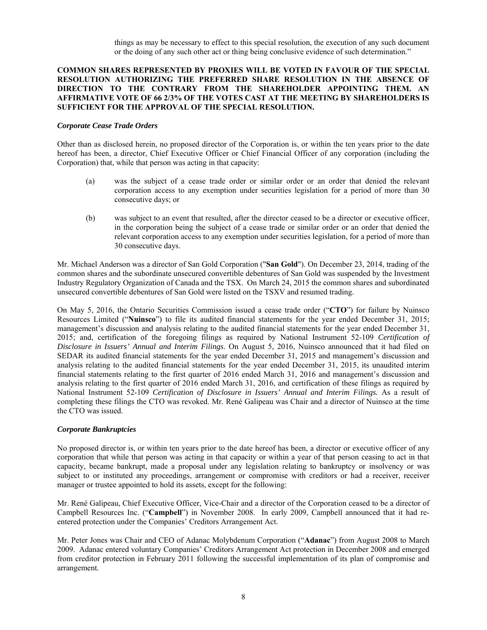things as may be necessary to effect to this special resolution, the execution of any such document or the doing of any such other act or thing being conclusive evidence of such determination."

## **COMMON SHARES REPRESENTED BY PROXIES WILL BE VOTED IN FAVOUR OF THE SPECIAL RESOLUTION AUTHORIZING THE PREFERRED SHARE RESOLUTION IN THE ABSENCE OF DIRECTION TO THE CONTRARY FROM THE SHAREHOLDER APPOINTING THEM. AN AFFIRMATIVE VOTE OF 66 2/3% OF THE VOTES CAST AT THE MEETING BY SHAREHOLDERS IS SUFFICIENT FOR THE APPROVAL OF THE SPECIAL RESOLUTION.**

#### *Corporate Cease Trade Orders*

Other than as disclosed herein, no proposed director of the Corporation is, or within the ten years prior to the date hereof has been, a director, Chief Executive Officer or Chief Financial Officer of any corporation (including the Corporation) that, while that person was acting in that capacity:

- (a) was the subject of a cease trade order or similar order or an order that denied the relevant corporation access to any exemption under securities legislation for a period of more than 30 consecutive days; or
- (b) was subject to an event that resulted, after the director ceased to be a director or executive officer, in the corporation being the subject of a cease trade or similar order or an order that denied the relevant corporation access to any exemption under securities legislation, for a period of more than 30 consecutive days.

Mr. Michael Anderson was a director of San Gold Corporation ("**San Gold**"). On December 23, 2014, trading of the common shares and the subordinate unsecured convertible debentures of San Gold was suspended by the Investment Industry Regulatory Organization of Canada and the TSX. On March 24, 2015 the common shares and subordinated unsecured convertible debentures of San Gold were listed on the TSXV and resumed trading.

On May 5, 2016, the Ontario Securities Commission issued a cease trade order ("**CTO**") for failure by Nuinsco Resources Limited ("**Nuinsco**") to file its audited financial statements for the year ended December 31, 2015; management's discussion and analysis relating to the audited financial statements for the year ended December 31, 2015; and, certification of the foregoing filings as required by National Instrument 52-109 *Certification of Disclosure in Issuers' Annual and Interim Filings*. On August 5, 2016, Nuinsco announced that it had filed on SEDAR its audited financial statements for the year ended December 31, 2015 and management's discussion and analysis relating to the audited financial statements for the year ended December 31, 2015, its unaudited interim financial statements relating to the first quarter of 2016 ended March 31, 2016 and management's discussion and analysis relating to the first quarter of 2016 ended March 31, 2016, and certification of these filings as required by National Instrument 52-109 *Certification of Disclosure in Issuers' Annual and Interim Filings.* As a result of completing these filings the CTO was revoked. Mr. René Galipeau was Chair and a director of Nuinsco at the time the CTO was issued.

## *Corporate Bankruptcies*

No proposed director is, or within ten years prior to the date hereof has been, a director or executive officer of any corporation that while that person was acting in that capacity or within a year of that person ceasing to act in that capacity, became bankrupt, made a proposal under any legislation relating to bankruptcy or insolvency or was subject to or instituted any proceedings, arrangement or compromise with creditors or had a receiver, receiver manager or trustee appointed to hold its assets, except for the following:

Mr. René Galipeau, Chief Executive Officer, Vice-Chair and a director of the Corporation ceased to be a director of Campbell Resources Inc. ("**Campbell**") in November 2008. In early 2009, Campbell announced that it had reentered protection under the Companies' Creditors Arrangement Act.

Mr. Peter Jones was Chair and CEO of Adanac Molybdenum Corporation ("**Adanac**") from August 2008 to March 2009. Adanac entered voluntary Companies' Creditors Arrangement Act protection in December 2008 and emerged from creditor protection in February 2011 following the successful implementation of its plan of compromise and arrangement.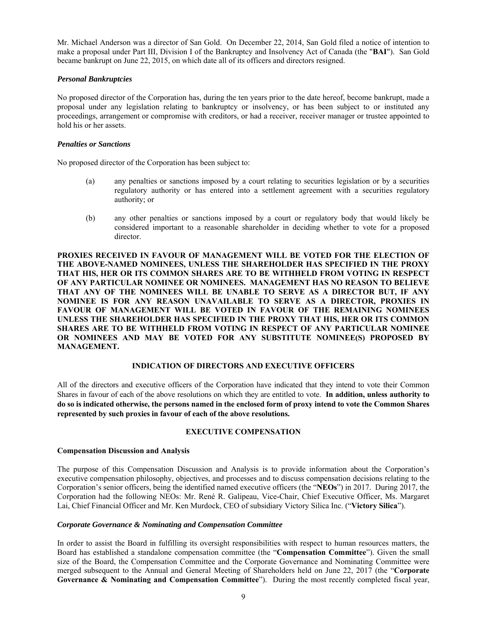Mr. Michael Anderson was a director of San Gold. On December 22, 2014, San Gold filed a notice of intention to make a proposal under Part III, Division I of the Bankruptcy and Insolvency Act of Canada (the "**BAI**"). San Gold became bankrupt on June 22, 2015, on which date all of its officers and directors resigned.

## *Personal Bankruptcies*

No proposed director of the Corporation has, during the ten years prior to the date hereof, become bankrupt, made a proposal under any legislation relating to bankruptcy or insolvency, or has been subject to or instituted any proceedings, arrangement or compromise with creditors, or had a receiver, receiver manager or trustee appointed to hold his or her assets.

## *Penalties or Sanctions*

No proposed director of the Corporation has been subject to:

- (a) any penalties or sanctions imposed by a court relating to securities legislation or by a securities regulatory authority or has entered into a settlement agreement with a securities regulatory authority; or
- (b) any other penalties or sanctions imposed by a court or regulatory body that would likely be considered important to a reasonable shareholder in deciding whether to vote for a proposed director.

**PROXIES RECEIVED IN FAVOUR OF MANAGEMENT WILL BE VOTED FOR THE ELECTION OF THE ABOVE-NAMED NOMINEES, UNLESS THE SHAREHOLDER HAS SPECIFIED IN THE PROXY THAT HIS, HER OR ITS COMMON SHARES ARE TO BE WITHHELD FROM VOTING IN RESPECT OF ANY PARTICULAR NOMINEE OR NOMINEES. MANAGEMENT HAS NO REASON TO BELIEVE THAT ANY OF THE NOMINEES WILL BE UNABLE TO SERVE AS A DIRECTOR BUT, IF ANY NOMINEE IS FOR ANY REASON UNAVAILABLE TO SERVE AS A DIRECTOR, PROXIES IN FAVOUR OF MANAGEMENT WILL BE VOTED IN FAVOUR OF THE REMAINING NOMINEES UNLESS THE SHAREHOLDER HAS SPECIFIED IN THE PROXY THAT HIS, HER OR ITS COMMON SHARES ARE TO BE WITHHELD FROM VOTING IN RESPECT OF ANY PARTICULAR NOMINEE OR NOMINEES AND MAY BE VOTED FOR ANY SUBSTITUTE NOMINEE(S) PROPOSED BY MANAGEMENT.** 

## **INDICATION OF DIRECTORS AND EXECUTIVE OFFICERS**

All of the directors and executive officers of the Corporation have indicated that they intend to vote their Common Shares in favour of each of the above resolutions on which they are entitled to vote. **In addition, unless authority to do so is indicated otherwise, the persons named in the enclosed form of proxy intend to vote the Common Shares represented by such proxies in favour of each of the above resolutions.**

## **EXECUTIVE COMPENSATION**

## **Compensation Discussion and Analysis**

The purpose of this Compensation Discussion and Analysis is to provide information about the Corporation's executive compensation philosophy, objectives, and processes and to discuss compensation decisions relating to the Corporation's senior officers, being the identified named executive officers (the "**NEOs**") in 2017. During 2017, the Corporation had the following NEOs: Mr. René R. Galipeau, Vice-Chair, Chief Executive Officer, Ms. Margaret Lai, Chief Financial Officer and Mr. Ken Murdock, CEO of subsidiary Victory Silica Inc. ("**Victory Silica**").

## *Corporate Governance & Nominating and Compensation Committee*

In order to assist the Board in fulfilling its oversight responsibilities with respect to human resources matters, the Board has established a standalone compensation committee (the "**Compensation Committee**"). Given the small size of the Board, the Compensation Committee and the Corporate Governance and Nominating Committee were merged subsequent to the Annual and General Meeting of Shareholders held on June 22, 2017 (the "**Corporate**  Governance & Nominating and Compensation Committee"). During the most recently completed fiscal year,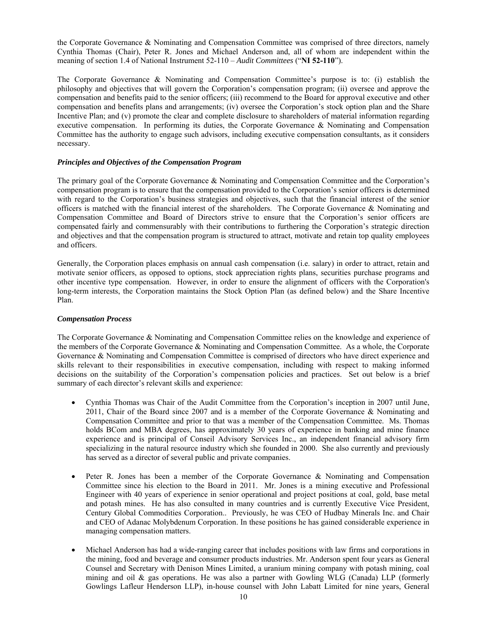the Corporate Governance & Nominating and Compensation Committee was comprised of three directors, namely Cynthia Thomas (Chair), Peter R. Jones and Michael Anderson and, all of whom are independent within the meaning of section 1.4 of National Instrument 52-110 – *Audit Committees* ("**NI 52-110**").

The Corporate Governance & Nominating and Compensation Committee's purpose is to: (i) establish the philosophy and objectives that will govern the Corporation's compensation program; (ii) oversee and approve the compensation and benefits paid to the senior officers; (iii) recommend to the Board for approval executive and other compensation and benefits plans and arrangements; (iv) oversee the Corporation's stock option plan and the Share Incentive Plan; and (v) promote the clear and complete disclosure to shareholders of material information regarding executive compensation. In performing its duties, the Corporate Governance & Nominating and Compensation Committee has the authority to engage such advisors, including executive compensation consultants, as it considers necessary.

## *Principles and Objectives of the Compensation Program*

The primary goal of the Corporate Governance & Nominating and Compensation Committee and the Corporation's compensation program is to ensure that the compensation provided to the Corporation's senior officers is determined with regard to the Corporation's business strategies and objectives, such that the financial interest of the senior officers is matched with the financial interest of the shareholders. The Corporate Governance & Nominating and Compensation Committee and Board of Directors strive to ensure that the Corporation's senior officers are compensated fairly and commensurably with their contributions to furthering the Corporation's strategic direction and objectives and that the compensation program is structured to attract, motivate and retain top quality employees and officers.

Generally, the Corporation places emphasis on annual cash compensation (i.e. salary) in order to attract, retain and motivate senior officers, as opposed to options, stock appreciation rights plans, securities purchase programs and other incentive type compensation. However, in order to ensure the alignment of officers with the Corporation's long-term interests, the Corporation maintains the Stock Option Plan (as defined below) and the Share Incentive Plan.

## *Compensation Process*

The Corporate Governance & Nominating and Compensation Committee relies on the knowledge and experience of the members of the Corporate Governance & Nominating and Compensation Committee. As a whole, the Corporate Governance & Nominating and Compensation Committee is comprised of directors who have direct experience and skills relevant to their responsibilities in executive compensation, including with respect to making informed decisions on the suitability of the Corporation's compensation policies and practices. Set out below is a brief summary of each director's relevant skills and experience:

- Cynthia Thomas was Chair of the Audit Committee from the Corporation's inception in 2007 until June, 2011, Chair of the Board since 2007 and is a member of the Corporate Governance & Nominating and Compensation Committee and prior to that was a member of the Compensation Committee. Ms. Thomas holds BCom and MBA degrees, has approximately 30 years of experience in banking and mine finance experience and is principal of Conseil Advisory Services Inc., an independent financial advisory firm specializing in the natural resource industry which she founded in 2000. She also currently and previously has served as a director of several public and private companies.
- Peter R. Jones has been a member of the Corporate Governance & Nominating and Compensation Committee since his election to the Board in 2011. Mr. Jones is a mining executive and Professional Engineer with 40 years of experience in senior operational and project positions at coal, gold, base metal and potash mines. He has also consulted in many countries and is currently Executive Vice President, Century Global Commodities Corporation.. Previously, he was CEO of Hudbay Minerals Inc. and Chair and CEO of Adanac Molybdenum Corporation. In these positions he has gained considerable experience in managing compensation matters.
- Michael Anderson has had a wide-ranging career that includes positions with law firms and corporations in the mining, food and beverage and consumer products industries. Mr. Anderson spent four years as General Counsel and Secretary with Denison Mines Limited, a uranium mining company with potash mining, coal mining and oil & gas operations. He was also a partner with Gowling WLG (Canada) LLP (formerly Gowlings Lafleur Henderson LLP), in-house counsel with John Labatt Limited for nine years, General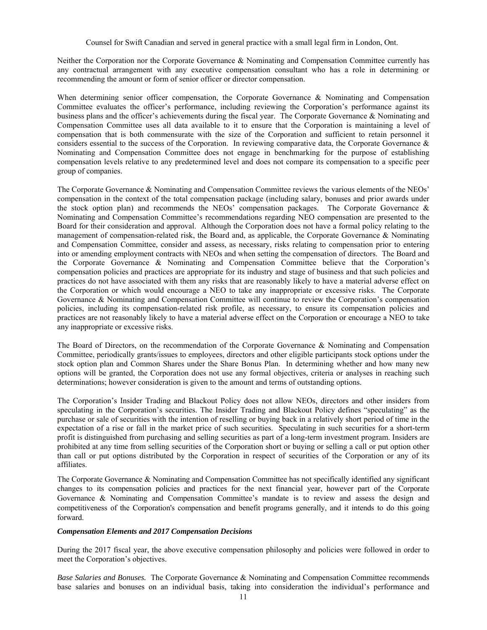Counsel for Swift Canadian and served in general practice with a small legal firm in London, Ont.

Neither the Corporation nor the Corporate Governance & Nominating and Compensation Committee currently has any contractual arrangement with any executive compensation consultant who has a role in determining or recommending the amount or form of senior officer or director compensation.

When determining senior officer compensation, the Corporate Governance & Nominating and Compensation Committee evaluates the officer's performance, including reviewing the Corporation's performance against its business plans and the officer's achievements during the fiscal year. The Corporate Governance & Nominating and Compensation Committee uses all data available to it to ensure that the Corporation is maintaining a level of compensation that is both commensurate with the size of the Corporation and sufficient to retain personnel it considers essential to the success of the Corporation. In reviewing comparative data, the Corporate Governance & Nominating and Compensation Committee does not engage in benchmarking for the purpose of establishing compensation levels relative to any predetermined level and does not compare its compensation to a specific peer group of companies.

The Corporate Governance & Nominating and Compensation Committee reviews the various elements of the NEOs' compensation in the context of the total compensation package (including salary, bonuses and prior awards under the stock option plan) and recommends the NEOs' compensation packages. The Corporate Governance & Nominating and Compensation Committee's recommendations regarding NEO compensation are presented to the Board for their consideration and approval. Although the Corporation does not have a formal policy relating to the management of compensation-related risk, the Board and, as applicable, the Corporate Governance & Nominating and Compensation Committee, consider and assess, as necessary, risks relating to compensation prior to entering into or amending employment contracts with NEOs and when setting the compensation of directors. The Board and the Corporate Governance & Nominating and Compensation Committee believe that the Corporation's compensation policies and practices are appropriate for its industry and stage of business and that such policies and practices do not have associated with them any risks that are reasonably likely to have a material adverse effect on the Corporation or which would encourage a NEO to take any inappropriate or excessive risks. The Corporate Governance & Nominating and Compensation Committee will continue to review the Corporation's compensation policies, including its compensation-related risk profile, as necessary, to ensure its compensation policies and practices are not reasonably likely to have a material adverse effect on the Corporation or encourage a NEO to take any inappropriate or excessive risks.

The Board of Directors, on the recommendation of the Corporate Governance & Nominating and Compensation Committee, periodically grants/issues to employees, directors and other eligible participants stock options under the stock option plan and Common Shares under the Share Bonus Plan. In determining whether and how many new options will be granted, the Corporation does not use any formal objectives, criteria or analyses in reaching such determinations; however consideration is given to the amount and terms of outstanding options.

The Corporation's Insider Trading and Blackout Policy does not allow NEOs, directors and other insiders from speculating in the Corporation's securities. The Insider Trading and Blackout Policy defines "speculating" as the purchase or sale of securities with the intention of reselling or buying back in a relatively short period of time in the expectation of a rise or fall in the market price of such securities. Speculating in such securities for a short-term profit is distinguished from purchasing and selling securities as part of a long-term investment program. Insiders are prohibited at any time from selling securities of the Corporation short or buying or selling a call or put option other than call or put options distributed by the Corporation in respect of securities of the Corporation or any of its affiliates.

The Corporate Governance & Nominating and Compensation Committee has not specifically identified any significant changes to its compensation policies and practices for the next financial year, however part of the Corporate Governance & Nominating and Compensation Committee's mandate is to review and assess the design and competitiveness of the Corporation's compensation and benefit programs generally, and it intends to do this going forward.

## *Compensation Elements and 2017 Compensation Decisions*

During the 2017 fiscal year, the above executive compensation philosophy and policies were followed in order to meet the Corporation's objectives.

*Base Salaries and Bonuses.* The Corporate Governance & Nominating and Compensation Committee recommends base salaries and bonuses on an individual basis, taking into consideration the individual's performance and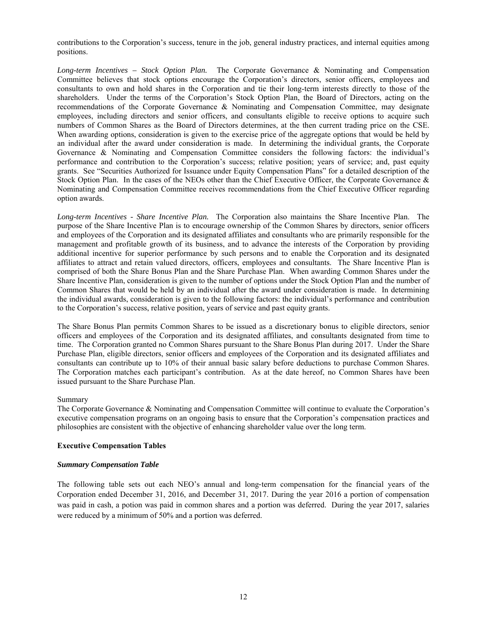contributions to the Corporation's success, tenure in the job, general industry practices, and internal equities among positions.

*Long-term Incentives – Stock Option Plan.* The Corporate Governance & Nominating and Compensation Committee believes that stock options encourage the Corporation's directors, senior officers, employees and consultants to own and hold shares in the Corporation and tie their long-term interests directly to those of the shareholders. Under the terms of the Corporation's Stock Option Plan, the Board of Directors, acting on the recommendations of the Corporate Governance & Nominating and Compensation Committee, may designate employees, including directors and senior officers, and consultants eligible to receive options to acquire such numbers of Common Shares as the Board of Directors determines, at the then current trading price on the CSE. When awarding options, consideration is given to the exercise price of the aggregate options that would be held by an individual after the award under consideration is made. In determining the individual grants, the Corporate Governance & Nominating and Compensation Committee considers the following factors: the individual's performance and contribution to the Corporation's success; relative position; years of service; and, past equity grants. See "Securities Authorized for Issuance under Equity Compensation Plans" for a detailed description of the Stock Option Plan. In the cases of the NEOs other than the Chief Executive Officer, the Corporate Governance & Nominating and Compensation Committee receives recommendations from the Chief Executive Officer regarding option awards.

*Long-term Incentives - Share Incentive Plan.* The Corporation also maintains the Share Incentive Plan. The purpose of the Share Incentive Plan is to encourage ownership of the Common Shares by directors, senior officers and employees of the Corporation and its designated affiliates and consultants who are primarily responsible for the management and profitable growth of its business, and to advance the interests of the Corporation by providing additional incentive for superior performance by such persons and to enable the Corporation and its designated affiliates to attract and retain valued directors, officers, employees and consultants. The Share Incentive Plan is comprised of both the Share Bonus Plan and the Share Purchase Plan. When awarding Common Shares under the Share Incentive Plan, consideration is given to the number of options under the Stock Option Plan and the number of Common Shares that would be held by an individual after the award under consideration is made. In determining the individual awards, consideration is given to the following factors: the individual's performance and contribution to the Corporation's success, relative position, years of service and past equity grants.

The Share Bonus Plan permits Common Shares to be issued as a discretionary bonus to eligible directors, senior officers and employees of the Corporation and its designated affiliates, and consultants designated from time to time. The Corporation granted no Common Shares pursuant to the Share Bonus Plan during 2017. Under the Share Purchase Plan, eligible directors, senior officers and employees of the Corporation and its designated affiliates and consultants can contribute up to 10% of their annual basic salary before deductions to purchase Common Shares. The Corporation matches each participant's contribution. As at the date hereof, no Common Shares have been issued pursuant to the Share Purchase Plan.

## Summary

The Corporate Governance & Nominating and Compensation Committee will continue to evaluate the Corporation's executive compensation programs on an ongoing basis to ensure that the Corporation's compensation practices and philosophies are consistent with the objective of enhancing shareholder value over the long term.

## **Executive Compensation Tables**

## *Summary Compensation Table*

The following table sets out each NEO's annual and long-term compensation for the financial years of the Corporation ended December 31, 2016, and December 31, 2017. During the year 2016 a portion of compensation was paid in cash, a potion was paid in common shares and a portion was deferred. During the year 2017, salaries were reduced by a minimum of 50% and a portion was deferred.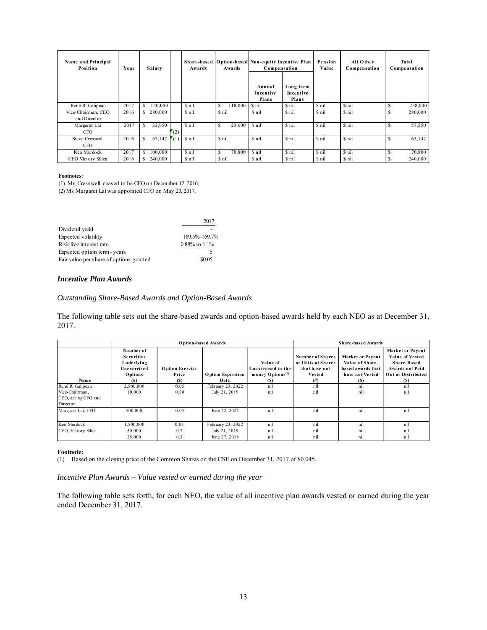| Name and Principal<br>Position     | Year | Salary       |     | Awards | Share-based   Option-based Non-equity Incentive Plan<br>Awards | Compensation<br>Annual<br>Incentive<br>Plans | Long-term<br>Incentive<br>Plans | Pension<br>Value | All Other<br>Compensation | Total<br>Compensation  |
|------------------------------------|------|--------------|-----|--------|----------------------------------------------------------------|----------------------------------------------|---------------------------------|------------------|---------------------------|------------------------|
| Rene R. Galipeau                   | 2017 | S<br>140,000 |     | \$ nil | 118,000<br>S                                                   | \$ nil                                       | \$ nil                          | \$ nil           | \$ nil                    | 258,000                |
| Vice-Chairman, CEO<br>and Director | 2016 | S<br>280,000 |     | \$ nil | \$ nil                                                         | \$ nil                                       | \$ nil                          | \$ nil           | \$ nil                    | 280,000                |
| Margaret Lai<br><b>CFO</b>         | 2017 | S<br>33,950  | (2) | \$ nil | 23,600<br><sup>S</sup>                                         | \$ nil                                       | \$ nil                          | \$ nil           | \$ nil                    | 57,550                 |
| Steve Cresswell<br><b>CFO</b>      | 2016 | S<br>63,147  | (1) | \$ nil | \$ nil                                                         | \$ nil                                       | \$ nil                          | \$ nil           | \$ nil                    | <sup>S</sup><br>63,147 |
| Ken Murdock                        | 2017 | S<br>100,000 |     | \$ nil | \$<br>70,800                                                   | \$ nil                                       | \$ nil                          | \$ nil           | \$ nil                    | 170,800<br>S           |
| CEO Victory Silica                 | 2016 | S<br>240,000 |     | \$ nil | \$ nil                                                         | \$ nil                                       | \$ nil                          | \$ nil           | \$ nil                    | 240,000                |

#### **Footnotes:**

(1) Mr. Cresswell ceased to be CFO on December 12, 2016; (2) Ms Margaret Lai was appointed CFO on May 23, 2017.

|                                         | 2017                |
|-----------------------------------------|---------------------|
| Dividend yield                          |                     |
| Expected volatility                     | 169.5%-169.7%       |
| Risk free interest rate                 | $0.88\%$ to $1.1\%$ |
| Expected option term - years            |                     |
| Fair value per share of options granted | \$0.05              |

#### *Incentive Plan Awards*

## *Outstanding Share-Based Awards and Option-Based Awards*

The following table sets out the share-based awards and option-based awards held by each NEO as at December 31, 2017.

|                                                   |                                                                                    |                                        | <b>Option-based Awards</b>       | <b>Share-based Awards</b>                                              |                                                                           |                                                                                           |                                                                                                                         |
|---------------------------------------------------|------------------------------------------------------------------------------------|----------------------------------------|----------------------------------|------------------------------------------------------------------------|---------------------------------------------------------------------------|-------------------------------------------------------------------------------------------|-------------------------------------------------------------------------------------------------------------------------|
| Name                                              | Number of<br><b>Securities</b><br>Underlying<br>Unexercised<br>Options<br>$^{(#)}$ | <b>Option Exercise</b><br>Price<br>(S) | <b>Option Expiration</b><br>Date | Value of<br>Unexercised in-the-<br>money Options <sup>(1)</sup><br>(S) | Number of Shares<br>or Units of Shares<br>that have not<br>Vested<br>(# ) | <b>Market or Payout</b><br>Value of Share-<br>based awards that<br>have not Vested<br>(S) | <b>Market or Payout</b><br><b>Value of Vested</b><br>Share-Based<br><b>Awards not Paid</b><br>Out or Distributed<br>(S) |
| René R. Galipeau                                  | 2,500,000                                                                          | 0.05                                   | February 23, 2022                | nil                                                                    | nil                                                                       | nil                                                                                       | nil                                                                                                                     |
| Vice-Chairman.<br>CEO, acting CFO and<br>Director | 10.000                                                                             | 0.70                                   | July 21, 2019                    | nil                                                                    | nil                                                                       | nil                                                                                       | nil                                                                                                                     |
| Margaret Lai, CFO                                 | 500,000                                                                            | 0.05                                   | June 22, 2022                    | nil                                                                    | nil                                                                       | nil                                                                                       | nil                                                                                                                     |
| Ken Murdock                                       | 1,500,000                                                                          | 0.05                                   | February 23, 2022                | nil                                                                    | nil                                                                       | nil                                                                                       | nil                                                                                                                     |
| CEO, Victory Silica                               | 50,000                                                                             | 0.7                                    | July 21, 2019                    | nil                                                                    | nil                                                                       | nil                                                                                       | nil                                                                                                                     |
|                                                   | 35,000                                                                             | 0.3                                    | June 27, 2018                    | nil                                                                    | nil                                                                       | nil                                                                                       | nil                                                                                                                     |

#### **Footnote:**

(1) Based on the closing price of the Common Shares on the CSE on December 31, 2017 of \$0.045.

*Incentive Plan Awards – Value vested or earned during the year* 

The following table sets forth, for each NEO, the value of all incentive plan awards vested or earned during the year ended December 31, 2017.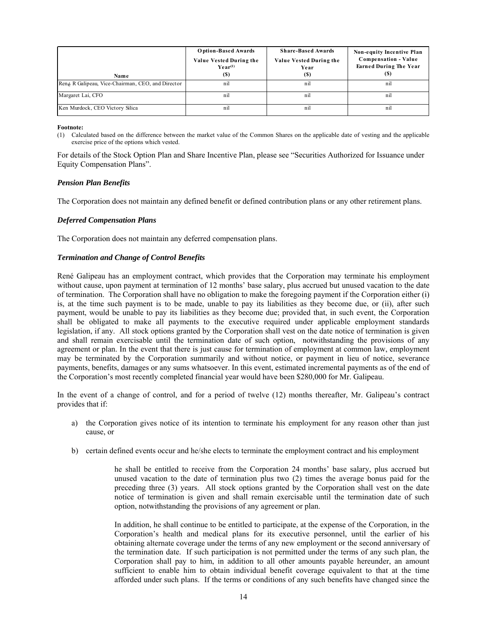| Name                                              | <b>Option-Based Awards</b><br>Value Vested During the<br>$\mathbf{Year}^{(1)}$<br>(S) | <b>Share-Based Awards</b><br>Value Vested During the<br>Year<br>(S) | <b>Non-equity Incentive Plan</b><br><b>Compensation - Value</b><br><b>Earned During The Year</b><br>(S) |
|---------------------------------------------------|---------------------------------------------------------------------------------------|---------------------------------------------------------------------|---------------------------------------------------------------------------------------------------------|
| René R Galipeau, Vice-Chairman, CEO, and Director | nil                                                                                   | nil                                                                 | nil                                                                                                     |
| Margaret Lai, CFO                                 | nil                                                                                   | nil                                                                 | nil                                                                                                     |
| Ken Murdock, CEO Victory Silica                   | nil                                                                                   | nil                                                                 | nil                                                                                                     |

**Footnote:**

(1) Calculated based on the difference between the market value of the Common Shares on the applicable date of vesting and the applicable exercise price of the options which vested.

For details of the Stock Option Plan and Share Incentive Plan, please see "Securities Authorized for Issuance under Equity Compensation Plans".

## *Pension Plan Benefits*

The Corporation does not maintain any defined benefit or defined contribution plans or any other retirement plans.

## *Deferred Compensation Plans*

The Corporation does not maintain any deferred compensation plans.

## *Termination and Change of Control Benefits*

René Galipeau has an employment contract, which provides that the Corporation may terminate his employment without cause, upon payment at termination of 12 months' base salary, plus accrued but unused vacation to the date of termination. The Corporation shall have no obligation to make the foregoing payment if the Corporation either (i) is, at the time such payment is to be made, unable to pay its liabilities as they become due, or (ii), after such payment, would be unable to pay its liabilities as they become due; provided that, in such event, the Corporation shall be obligated to make all payments to the executive required under applicable employment standards legislation, if any. All stock options granted by the Corporation shall vest on the date notice of termination is given and shall remain exercisable until the termination date of such option, notwithstanding the provisions of any agreement or plan. In the event that there is just cause for termination of employment at common law, employment may be terminated by the Corporation summarily and without notice, or payment in lieu of notice, severance payments, benefits, damages or any sums whatsoever. In this event, estimated incremental payments as of the end of the Corporation's most recently completed financial year would have been \$280,000 for Mr. Galipeau.

In the event of a change of control, and for a period of twelve (12) months thereafter, Mr. Galipeau's contract provides that if:

- a) the Corporation gives notice of its intention to terminate his employment for any reason other than just cause, or
- b) certain defined events occur and he/she elects to terminate the employment contract and his employment

he shall be entitled to receive from the Corporation 24 months' base salary, plus accrued but unused vacation to the date of termination plus two (2) times the average bonus paid for the preceding three (3) years. All stock options granted by the Corporation shall vest on the date notice of termination is given and shall remain exercisable until the termination date of such option, notwithstanding the provisions of any agreement or plan.

In addition, he shall continue to be entitled to participate, at the expense of the Corporation, in the Corporation's health and medical plans for its executive personnel, until the earlier of his obtaining alternate coverage under the terms of any new employment or the second anniversary of the termination date. If such participation is not permitted under the terms of any such plan, the Corporation shall pay to him, in addition to all other amounts payable hereunder, an amount sufficient to enable him to obtain individual benefit coverage equivalent to that at the time afforded under such plans. If the terms or conditions of any such benefits have changed since the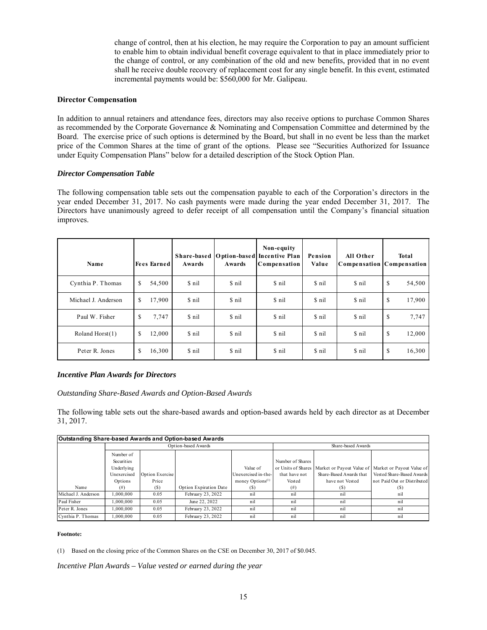change of control, then at his election, he may require the Corporation to pay an amount sufficient to enable him to obtain individual benefit coverage equivalent to that in place immediately prior to the change of control, or any combination of the old and new benefits, provided that in no event shall he receive double recovery of replacement cost for any single benefit. In this event, estimated incremental payments would be: \$560,000 for Mr. Galipeau.

## **Director Compensation**

In addition to annual retainers and attendance fees, directors may also receive options to purchase Common Shares as recommended by the Corporate Governance & Nominating and Compensation Committee and determined by the Board. The exercise price of such options is determined by the Board, but shall in no event be less than the market price of the Common Shares at the time of grant of the options. Please see "Securities Authorized for Issuance under Equity Compensation Plans" below for a detailed description of the Stock Option Plan.

#### *Director Compensation Table*

The following compensation table sets out the compensation payable to each of the Corporation's directors in the year ended December 31, 2017. No cash payments were made during the year ended December 31, 2017. The Directors have unanimously agreed to defer receipt of all compensation until the Company's financial situation improves.

| Name                |    | <b>Fees Earned</b> | Awards | Awards | Non-equity<br>Share-based   Option-based Incentive Plan<br>Compensation | Pension<br>Value | All Other<br><b>Compensation Compensation</b> | Total        |
|---------------------|----|--------------------|--------|--------|-------------------------------------------------------------------------|------------------|-----------------------------------------------|--------------|
| Cynthia P. Thomas   | S. | 54,500             | \$ nil | \$ nil | \$ nil                                                                  | \$ nil           | \$ nil                                        | \$<br>54,500 |
| Michael J. Anderson | S. | 17,900             | \$ nil | \$ nil | \$ nil                                                                  | \$ nil           | \$ nil                                        | \$<br>17,900 |
| Paul W. Fisher      | \$ | 7,747              | \$ nil | \$ nil | \$ nil                                                                  | \$ nil           | \$ nil                                        | \$<br>7,747  |
| Roland Horst(1)     | S. | 12,000             | \$ nil | \$ nil | \$ nil                                                                  | \$ nil           | \$ nil                                        | \$<br>12,000 |
| Peter R. Jones      | \$ | 16,300             | \$ nil | \$ nil | \$ nil                                                                  | \$ nil           | \$ nil                                        | \$<br>16,300 |

## *Incentive Plan Awards for Directors*

## *Outstanding Share-Based Awards and Option-Based Awards*

The following table sets out the share-based awards and option-based awards held by each director as at December 31, 2017.

| Outstanding Share-based Awards and Option-based Awards |                         |                 |                        |                     |                  |                         |                                                                        |
|--------------------------------------------------------|-------------------------|-----------------|------------------------|---------------------|------------------|-------------------------|------------------------------------------------------------------------|
|                                                        |                         |                 | Option-based Awards    | Share-based Awards  |                  |                         |                                                                        |
|                                                        | Number of<br>Securities |                 |                        |                     | Number of Shares |                         |                                                                        |
|                                                        | Underlying              |                 |                        | Value of            |                  |                         | or Units of Shares Market or Payout Value of Market or Payout Value of |
|                                                        | Unexercised             | Option Exercise |                        | Unexercised in-the- | that have not    | Share-Based Awards that | Vested Share-Based Awards                                              |
|                                                        | Options                 | Price           |                        | money Options $(1)$ | Vested           | have not Vested         | not Paid Out or Distributed                                            |
| Name                                                   | (# )                    | (S)             | Option Expiration Date | ſУ                  | (# )             | (S)                     |                                                                        |
| Michael J. Anderson                                    | 000,000.                | 0.05            | February 23, 2022      | nil                 | nil              | nil                     | nil                                                                    |
| Paul Fisher                                            | 000,000.                | 0.05            | June 22, 2022          | nil                 | nil              | nil                     | nil                                                                    |
| Peter R. Jones                                         | .000.000                | 0.05            | February 23, 2022      | nil                 | nil              | nil                     | nil                                                                    |
| Cynthia P. Thomas                                      | .000.000                | 0.05            | February 23, 2022      | nil                 | nil              | nil                     | nil                                                                    |

#### **Footnote:**

(1) Based on the closing price of the Common Shares on the CSE on December 30, 2017 of \$0.045.

*Incentive Plan Awards – Value vested or earned during the year*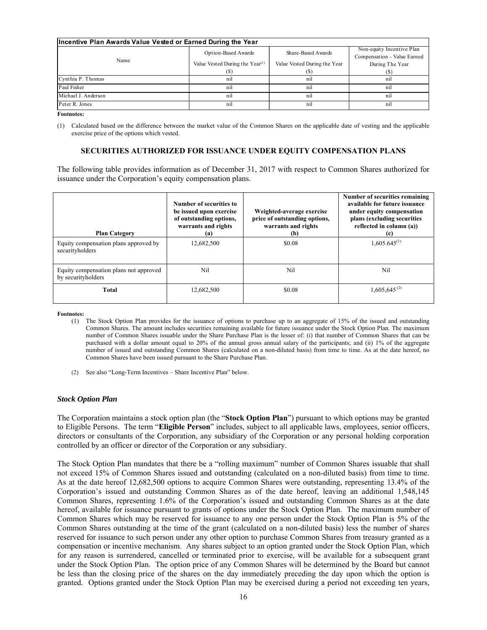| Incentive Plan Awards Value Vested or Earned During the Year |                                             |                              |                             |  |  |  |
|--------------------------------------------------------------|---------------------------------------------|------------------------------|-----------------------------|--|--|--|
|                                                              | Option-Based Awards                         | Share-Based Awards           | Non-equity Incentive Plan   |  |  |  |
| Name                                                         |                                             |                              | Compensation - Value Earned |  |  |  |
|                                                              | Value Vested During the Year <sup>(1)</sup> | Value Vested During the Year | During The Year             |  |  |  |
|                                                              |                                             |                              |                             |  |  |  |
| Cynthia P. Thomas                                            | nil                                         | nil                          | nil                         |  |  |  |
| Paul Fisher                                                  | nil                                         | nil                          | n1                          |  |  |  |
| Michael J. Anderson                                          | nil                                         | nil                          | n1                          |  |  |  |
| Peter R. Jones                                               | nil                                         | nil                          | n1                          |  |  |  |

**Footnotes:** 

(1) Calculated based on the difference between the market value of the Common Shares on the applicable date of vesting and the applicable exercise price of the options which vested.

## **SECURITIES AUTHORIZED FOR ISSUANCE UNDER EQUITY COMPENSATION PLANS**

The following table provides information as of December 31, 2017 with respect to Common Shares authorized for issuance under the Corporation's equity compensation plans.

| <b>Plan Category</b>                                         | Number of securities to<br>be issued upon exercise<br>of outstanding options,<br>warrants and rights<br>(a) | Weighted-average exercise<br>price of outstanding options,<br>warrants and rights<br>(b) | Number of securities remaining<br>available for future issuance<br>under equity compensation<br>plans (excluding securities<br>reflected in column (a))<br>(c) |
|--------------------------------------------------------------|-------------------------------------------------------------------------------------------------------------|------------------------------------------------------------------------------------------|----------------------------------------------------------------------------------------------------------------------------------------------------------------|
| Equity compensation plans approved by<br>securityholders     | 12,682,500                                                                                                  | \$0.08                                                                                   | $1,605.645^{(1)}$                                                                                                                                              |
| Equity compensation plans not approved<br>by securityholders | Nil                                                                                                         | Ni1                                                                                      | Ni1                                                                                                                                                            |
| Total                                                        | 12,682,500                                                                                                  | \$0.08                                                                                   | $1,605,645^{(2)}$                                                                                                                                              |

**Footnotes:** 

- (1) The Stock Option Plan provides for the issuance of options to purchase up to an aggregate of 15% of the issued and outstanding Common Shares. The amount includes securities remaining available for future issuance under the Stock Option Plan. The maximum number of Common Shares issuable under the Share Purchase Plan is the lesser of: (i) that number of Common Shares that can be purchased with a dollar amount equal to 20% of the annual gross annual salary of the participants; and (ii) 1% of the aggregate number of issued and outstanding Common Shares (calculated on a non-diluted basis) from time to time. As at the date hereof, no Common Shares have been issued pursuant to the Share Purchase Plan.
- (2) See also "Long-Term Incentives Share Incentive Plan" below.

#### *Stock Option Plan*

The Corporation maintains a stock option plan (the "**Stock Option Plan**") pursuant to which options may be granted to Eligible Persons. The term "**Eligible Person**" includes, subject to all applicable laws, employees, senior officers, directors or consultants of the Corporation, any subsidiary of the Corporation or any personal holding corporation controlled by an officer or director of the Corporation or any subsidiary.

The Stock Option Plan mandates that there be a "rolling maximum" number of Common Shares issuable that shall not exceed 15% of Common Shares issued and outstanding (calculated on a non-diluted basis) from time to time. As at the date hereof 12,682,500 options to acquire Common Shares were outstanding, representing 13.4% of the Corporation's issued and outstanding Common Shares as of the date hereof, leaving an additional 1,548,145 Common Shares, representing 1.6% of the Corporation's issued and outstanding Common Shares as at the date hereof, available for issuance pursuant to grants of options under the Stock Option Plan. The maximum number of Common Shares which may be reserved for issuance to any one person under the Stock Option Plan is 5% of the Common Shares outstanding at the time of the grant (calculated on a non-diluted basis) less the number of shares reserved for issuance to such person under any other option to purchase Common Shares from treasury granted as a compensation or incentive mechanism. Any shares subject to an option granted under the Stock Option Plan, which for any reason is surrendered, cancelled or terminated prior to exercise, will be available for a subsequent grant under the Stock Option Plan. The option price of any Common Shares will be determined by the Board but cannot be less than the closing price of the shares on the day immediately preceding the day upon which the option is granted. Options granted under the Stock Option Plan may be exercised during a period not exceeding ten years,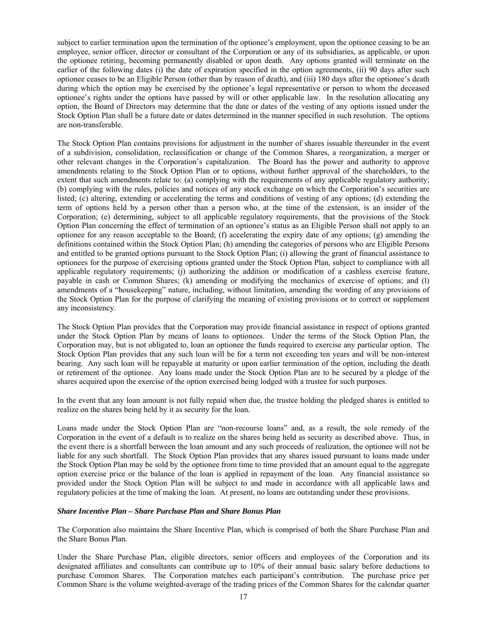subject to earlier termination upon the termination of the optionee's employment, upon the optionee ceasing to be an employee, senior officer, director or consultant of the Corporation or any of its subsidiaries, as applicable, or upon the optionee retiring, becoming permanently disabled or upon death. Any options granted will terminate on the earlier of the following dates (i) the date of expiration specified in the option agreements, (ii) 90 days after such optionee ceases to be an Eligible Person (other than by reason of death), and (iii) 180 days after the optionee's death during which the option may be exercised by the optionee's legal representative or person to whom the deceased optionee's rights under the options have passed by will or other applicable law. In the resolution allocating any option, the Board of Directors may determine that the date or dates of the vesting of any options issued under the Stock Option Plan shall be a future date or dates determined in the manner specified in such resolution. The options are non-transferable.

The Stock Option Plan contains provisions for adjustment in the number of shares issuable thereunder in the event of a subdivision, consolidation, reclassification or change of the Common Shares, a reorganization, a merger or other relevant changes in the Corporation's capitalization. The Board has the power and authority to approve amendments relating to the Stock Option Plan or to options, without further approval of the shareholders, to the extent that such amendments relate to: (a) complying with the requirements of any applicable regulatory authority; (b) complying with the rules, policies and notices of any stock exchange on which the Corporation's securities are listed; (c) altering, extending or accelerating the terms and conditions of vesting of any options; (d) extending the term of options held by a person other than a person who, at the time of the extension, is an insider of the Corporation; (e) determining, subject to all applicable regulatory requirements, that the provisions of the Stock Option Plan concerning the effect of termination of an optionee's status as an Eligible Person shall not apply to an optionee for any reason acceptable to the Board; (f) accelerating the expiry date of any options; (g) amending the definitions contained within the Stock Option Plan; (h) amending the categories of persons who are Eligible Persons and entitled to be granted options pursuant to the Stock Option Plan; (i) allowing the grant of financial assistance to optionees for the purpose of exercising options granted under the Stock Option Plan, subject to compliance with all applicable regulatory requirements; (j) authorizing the addition or modification of a cashless exercise feature, payable in cash or Common Shares; (k) amending or modifying the mechanics of exercise of options; and (l) amendments of a "housekeeping" nature, including, without limitation, amending the wording of any provisions of the Stock Option Plan for the purpose of clarifying the meaning of existing provisions or to correct or supplement any inconsistency.

The Stock Option Plan provides that the Corporation may provide financial assistance in respect of options granted under the Stock Option Plan by means of loans to optionees. Under the terms of the Stock Option Plan, the Corporation may, but is not obligated to, loan an optionee the funds required to exercise any particular option. The Stock Option Plan provides that any such loan will be for a term not exceeding ten years and will be non-interest bearing. Any such loan will be repayable at maturity or upon earlier termination of the option, including the death or retirement of the optionee. Any loans made under the Stock Option Plan are to be secured by a pledge of the shares acquired upon the exercise of the option exercised being lodged with a trustee for such purposes.

In the event that any loan amount is not fully repaid when due, the trustee holding the pledged shares is entitled to realize on the shares being held by it as security for the loan.

Loans made under the Stock Option Plan are "non-recourse loans" and, as a result, the sole remedy of the Corporation in the event of a default is to realize on the shares being held as security as described above. Thus, in the event there is a shortfall between the loan amount and any such proceeds of realization, the optionee will not be liable for any such shortfall. The Stock Option Plan provides that any shares issued pursuant to loans made under the Stock Option Plan may be sold by the optionee from time to time provided that an amount equal to the aggregate option exercise price or the balance of the loan is applied in repayment of the loan. Any financial assistance so provided under the Stock Option Plan will be subject to and made in accordance with all applicable laws and regulatory policies at the time of making the loan. At present, no loans are outstanding under these provisions.

## *Share Incentive Plan – Share Purchase Plan and Share Bonus Plan*

The Corporation also maintains the Share Incentive Plan, which is comprised of both the Share Purchase Plan and the Share Bonus Plan.

Under the Share Purchase Plan, eligible directors, senior officers and employees of the Corporation and its designated affiliates and consultants can contribute up to 10% of their annual basic salary before deductions to purchase Common Shares. The Corporation matches each participant's contribution. The purchase price per Common Share is the volume weighted-average of the trading prices of the Common Shares for the calendar quarter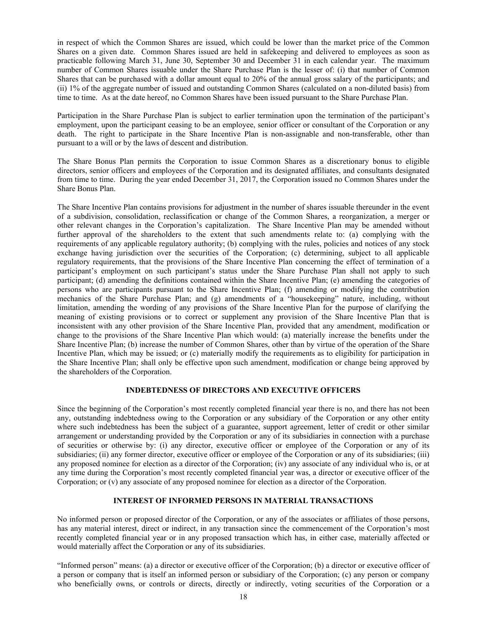in respect of which the Common Shares are issued, which could be lower than the market price of the Common Shares on a given date. Common Shares issued are held in safekeeping and delivered to employees as soon as practicable following March 31, June 30, September 30 and December 31 in each calendar year. The maximum number of Common Shares issuable under the Share Purchase Plan is the lesser of: (i) that number of Common Shares that can be purchased with a dollar amount equal to 20% of the annual gross salary of the participants; and (ii) 1% of the aggregate number of issued and outstanding Common Shares (calculated on a non-diluted basis) from time to time. As at the date hereof, no Common Shares have been issued pursuant to the Share Purchase Plan.

Participation in the Share Purchase Plan is subject to earlier termination upon the termination of the participant's employment, upon the participant ceasing to be an employee, senior officer or consultant of the Corporation or any death. The right to participate in the Share Incentive Plan is non-assignable and non-transferable, other than pursuant to a will or by the laws of descent and distribution.

The Share Bonus Plan permits the Corporation to issue Common Shares as a discretionary bonus to eligible directors, senior officers and employees of the Corporation and its designated affiliates, and consultants designated from time to time. During the year ended December 31, 2017, the Corporation issued no Common Shares under the Share Bonus Plan.

The Share Incentive Plan contains provisions for adjustment in the number of shares issuable thereunder in the event of a subdivision, consolidation, reclassification or change of the Common Shares, a reorganization, a merger or other relevant changes in the Corporation's capitalization. The Share Incentive Plan may be amended without further approval of the shareholders to the extent that such amendments relate to: (a) complying with the requirements of any applicable regulatory authority; (b) complying with the rules, policies and notices of any stock exchange having jurisdiction over the securities of the Corporation; (c) determining, subject to all applicable regulatory requirements, that the provisions of the Share Incentive Plan concerning the effect of termination of a participant's employment on such participant's status under the Share Purchase Plan shall not apply to such participant; (d) amending the definitions contained within the Share Incentive Plan; (e) amending the categories of persons who are participants pursuant to the Share Incentive Plan; (f) amending or modifying the contribution mechanics of the Share Purchase Plan; and (g) amendments of a "housekeeping" nature, including, without limitation, amending the wording of any provisions of the Share Incentive Plan for the purpose of clarifying the meaning of existing provisions or to correct or supplement any provision of the Share Incentive Plan that is inconsistent with any other provision of the Share Incentive Plan, provided that any amendment, modification or change to the provisions of the Share Incentive Plan which would: (a) materially increase the benefits under the Share Incentive Plan; (b) increase the number of Common Shares, other than by virtue of the operation of the Share Incentive Plan, which may be issued; or (c) materially modify the requirements as to eligibility for participation in the Share Incentive Plan; shall only be effective upon such amendment, modification or change being approved by the shareholders of the Corporation.

## **INDEBTEDNESS OF DIRECTORS AND EXECUTIVE OFFICERS**

Since the beginning of the Corporation's most recently completed financial year there is no, and there has not been any, outstanding indebtedness owing to the Corporation or any subsidiary of the Corporation or any other entity where such indebtedness has been the subject of a guarantee, support agreement, letter of credit or other similar arrangement or understanding provided by the Corporation or any of its subsidiaries in connection with a purchase of securities or otherwise by: (i) any director, executive officer or employee of the Corporation or any of its subsidiaries; (ii) any former director, executive officer or employee of the Corporation or any of its subsidiaries; (iii) any proposed nominee for election as a director of the Corporation; (iv) any associate of any individual who is, or at any time during the Corporation's most recently completed financial year was, a director or executive officer of the Corporation; or (v) any associate of any proposed nominee for election as a director of the Corporation.

## **INTEREST OF INFORMED PERSONS IN MATERIAL TRANSACTIONS**

No informed person or proposed director of the Corporation, or any of the associates or affiliates of those persons, has any material interest, direct or indirect, in any transaction since the commencement of the Corporation's most recently completed financial year or in any proposed transaction which has, in either case, materially affected or would materially affect the Corporation or any of its subsidiaries.

"Informed person" means: (a) a director or executive officer of the Corporation; (b) a director or executive officer of a person or company that is itself an informed person or subsidiary of the Corporation; (c) any person or company who beneficially owns, or controls or directs, directly or indirectly, voting securities of the Corporation or a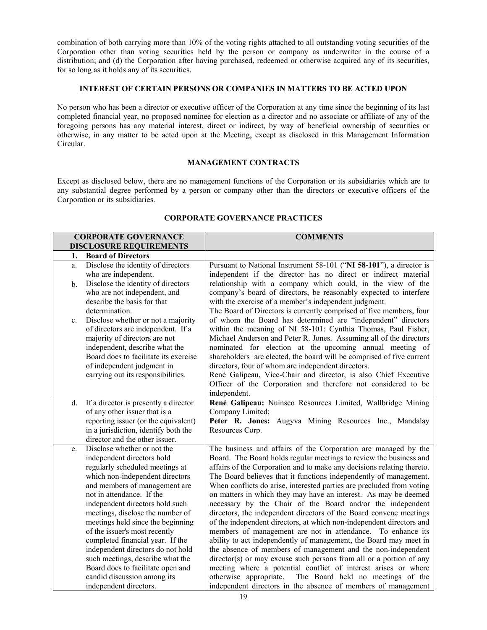combination of both carrying more than 10% of the voting rights attached to all outstanding voting securities of the Corporation other than voting securities held by the person or company as underwriter in the course of a distribution; and (d) the Corporation after having purchased, redeemed or otherwise acquired any of its securities, for so long as it holds any of its securities.

## **INTEREST OF CERTAIN PERSONS OR COMPANIES IN MATTERS TO BE ACTED UPON**

No person who has been a director or executive officer of the Corporation at any time since the beginning of its last completed financial year, no proposed nominee for election as a director and no associate or affiliate of any of the foregoing persons has any material interest, direct or indirect, by way of beneficial ownership of securities or otherwise, in any matter to be acted upon at the Meeting, except as disclosed in this Management Information Circular.

# **MANAGEMENT CONTRACTS**

Except as disclosed below, there are no management functions of the Corporation or its subsidiaries which are to any substantial degree performed by a person or company other than the directors or executive officers of the Corporation or its subsidiaries.

| <b>CORPORATE GOVERNANCE</b>                                                                                                                                                                                                                                                                                                                                                                                                                                                                                                                                 | <b>COMMENTS</b>                                                                                                                                                                                                                                                                                                                                                                                                                                                                                                                                                                                                                                                                                                                                                                                                                                                                                                                                                                                                                                                                                                          |  |  |  |  |
|-------------------------------------------------------------------------------------------------------------------------------------------------------------------------------------------------------------------------------------------------------------------------------------------------------------------------------------------------------------------------------------------------------------------------------------------------------------------------------------------------------------------------------------------------------------|--------------------------------------------------------------------------------------------------------------------------------------------------------------------------------------------------------------------------------------------------------------------------------------------------------------------------------------------------------------------------------------------------------------------------------------------------------------------------------------------------------------------------------------------------------------------------------------------------------------------------------------------------------------------------------------------------------------------------------------------------------------------------------------------------------------------------------------------------------------------------------------------------------------------------------------------------------------------------------------------------------------------------------------------------------------------------------------------------------------------------|--|--|--|--|
| <b>DISCLOSURE REQUIREMENTS</b>                                                                                                                                                                                                                                                                                                                                                                                                                                                                                                                              |                                                                                                                                                                                                                                                                                                                                                                                                                                                                                                                                                                                                                                                                                                                                                                                                                                                                                                                                                                                                                                                                                                                          |  |  |  |  |
| <b>Board of Directors</b><br>1.                                                                                                                                                                                                                                                                                                                                                                                                                                                                                                                             |                                                                                                                                                                                                                                                                                                                                                                                                                                                                                                                                                                                                                                                                                                                                                                                                                                                                                                                                                                                                                                                                                                                          |  |  |  |  |
| Disclose the identity of directors<br>a.<br>who are independent.<br>Disclose the identity of directors<br>b.                                                                                                                                                                                                                                                                                                                                                                                                                                                | Pursuant to National Instrument 58-101 ("NI 58-101"), a director is<br>independent if the director has no direct or indirect material<br>relationship with a company which could, in the view of the                                                                                                                                                                                                                                                                                                                                                                                                                                                                                                                                                                                                                                                                                                                                                                                                                                                                                                                     |  |  |  |  |
| who are not independent, and<br>describe the basis for that<br>determination.                                                                                                                                                                                                                                                                                                                                                                                                                                                                               | company's board of directors, be reasonably expected to interfere<br>with the exercise of a member's independent judgment.<br>The Board of Directors is currently comprised of five members, four                                                                                                                                                                                                                                                                                                                                                                                                                                                                                                                                                                                                                                                                                                                                                                                                                                                                                                                        |  |  |  |  |
| Disclose whether or not a majority<br>c.<br>of directors are independent. If a<br>majority of directors are not<br>independent, describe what the<br>Board does to facilitate its exercise<br>of independent judgment in<br>carrying out its responsibilities.                                                                                                                                                                                                                                                                                              | of whom the Board has determined are "independent" directors<br>within the meaning of NI 58-101: Cynthia Thomas, Paul Fisher,<br>Michael Anderson and Peter R. Jones. Assuming all of the directors<br>nominated for election at the upcoming annual meeting of<br>shareholders are elected, the board will be comprised of five current<br>directors, four of whom are independent directors.<br>René Galipeau, Vice-Chair and director, is also Chief Executive<br>Officer of the Corporation and therefore not considered to be<br>independent.                                                                                                                                                                                                                                                                                                                                                                                                                                                                                                                                                                       |  |  |  |  |
| d.<br>If a director is presently a director<br>of any other issuer that is a<br>reporting issuer (or the equivalent)<br>in a jurisdiction, identify both the<br>director and the other issuer.                                                                                                                                                                                                                                                                                                                                                              | René Galipeau: Nuinsco Resources Limited, Wallbridge Mining<br>Company Limited;<br>Peter R. Jones: Augyva Mining Resources Inc., Mandalay<br>Resources Corp.                                                                                                                                                                                                                                                                                                                                                                                                                                                                                                                                                                                                                                                                                                                                                                                                                                                                                                                                                             |  |  |  |  |
| Disclose whether or not the<br>e.<br>independent directors hold<br>regularly scheduled meetings at<br>which non-independent directors<br>and members of management are<br>not in attendance. If the<br>independent directors hold such<br>meetings, disclose the number of<br>meetings held since the beginning<br>of the issuer's most recently<br>completed financial year. If the<br>independent directors do not hold<br>such meetings, describe what the<br>Board does to facilitate open and<br>candid discussion among its<br>independent directors. | The business and affairs of the Corporation are managed by the<br>Board. The Board holds regular meetings to review the business and<br>affairs of the Corporation and to make any decisions relating thereto.<br>The Board believes that it functions independently of management.<br>When conflicts do arise, interested parties are precluded from voting<br>on matters in which they may have an interest. As may be deemed<br>necessary by the Chair of the Board and/or the independent<br>directors, the independent directors of the Board convene meetings<br>of the independent directors, at which non-independent directors and<br>members of management are not in attendance. To enhance its<br>ability to act independently of management, the Board may meet in<br>the absence of members of management and the non-independent<br>director(s) or may excuse such persons from all or a portion of any<br>meeting where a potential conflict of interest arises or where<br>The Board held no meetings of the<br>otherwise appropriate.<br>independent directors in the absence of members of management |  |  |  |  |

## **CORPORATE GOVERNANCE PRACTICES**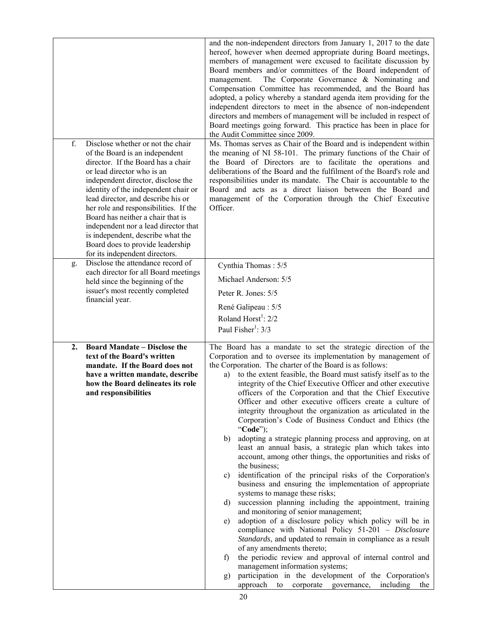| f.<br>g. | Disclose whether or not the chair<br>of the Board is an independent<br>director. If the Board has a chair<br>or lead director who is an<br>independent director, disclose the<br>identity of the independent chair or<br>lead director, and describe his or<br>her role and responsibilities. If the<br>Board has neither a chair that is<br>independent nor a lead director that<br>is independent, describe what the<br>Board does to provide leadership<br>for its independent directors.<br>Disclose the attendance record of | and the non-independent directors from January 1, 2017 to the date<br>hereof, however when deemed appropriate during Board meetings,<br>members of management were excused to facilitate discussion by<br>Board members and/or committees of the Board independent of<br>management.<br>The Corporate Governance & Nominating and<br>Compensation Committee has recommended, and the Board has<br>adopted, a policy whereby a standard agenda item providing for the<br>independent directors to meet in the absence of non-independent<br>directors and members of management will be included in respect of<br>Board meetings going forward. This practice has been in place for<br>the Audit Committee since 2009.<br>Ms. Thomas serves as Chair of the Board and is independent within<br>the meaning of NI 58-101. The primary functions of the Chair of<br>the Board of Directors are to facilitate the operations and<br>deliberations of the Board and the fulfilment of the Board's role and<br>responsibilities under its mandate. The Chair is accountable to the<br>Board and acts as a direct liaison between the Board and<br>management of the Corporation through the Chief Executive<br>Officer.                                                                                                                                                                                                                                                                                                                                   |
|----------|-----------------------------------------------------------------------------------------------------------------------------------------------------------------------------------------------------------------------------------------------------------------------------------------------------------------------------------------------------------------------------------------------------------------------------------------------------------------------------------------------------------------------------------|-----------------------------------------------------------------------------------------------------------------------------------------------------------------------------------------------------------------------------------------------------------------------------------------------------------------------------------------------------------------------------------------------------------------------------------------------------------------------------------------------------------------------------------------------------------------------------------------------------------------------------------------------------------------------------------------------------------------------------------------------------------------------------------------------------------------------------------------------------------------------------------------------------------------------------------------------------------------------------------------------------------------------------------------------------------------------------------------------------------------------------------------------------------------------------------------------------------------------------------------------------------------------------------------------------------------------------------------------------------------------------------------------------------------------------------------------------------------------------------------------------------------------------------------------------|
|          | each director for all Board meetings<br>held since the beginning of the<br>issuer's most recently completed<br>financial year.                                                                                                                                                                                                                                                                                                                                                                                                    | Cynthia Thomas: 5/5<br>Michael Anderson: 5/5<br>Peter R. Jones: 5/5<br>René Galipeau: 5/5<br>Roland Horst <sup>1</sup> : $2/2$<br>Paul Fisher <sup>1</sup> : 3/3                                                                                                                                                                                                                                                                                                                                                                                                                                                                                                                                                                                                                                                                                                                                                                                                                                                                                                                                                                                                                                                                                                                                                                                                                                                                                                                                                                                    |
| 2.       | <b>Board Mandate – Disclose the</b><br>text of the Board's written<br>mandate. If the Board does not<br>have a written mandate, describe<br>how the Board delineates its role<br>and responsibilities                                                                                                                                                                                                                                                                                                                             | The Board has a mandate to set the strategic direction of the<br>Corporation and to oversee its implementation by management of<br>the Corporation. The charter of the Board is as follows:<br>to the extent feasible, the Board must satisfy itself as to the<br>a)<br>integrity of the Chief Executive Officer and other executive<br>officers of the Corporation and that the Chief Executive<br>Officer and other executive officers create a culture of<br>integrity throughout the organization as articulated in the<br>Corporation's Code of Business Conduct and Ethics (the<br>"Code");<br>adopting a strategic planning process and approving, on at<br>b)<br>least an annual basis, a strategic plan which takes into<br>account, among other things, the opportunities and risks of<br>the business;<br>identification of the principal risks of the Corporation's<br>c)<br>business and ensuring the implementation of appropriate<br>systems to manage these risks;<br>succession planning including the appointment, training<br>d)<br>and monitoring of senior management;<br>adoption of a disclosure policy which policy will be in<br>e)<br>compliance with National Policy 51-201 - Disclosure<br>Standards, and updated to remain in compliance as a result<br>of any amendments thereto;<br>the periodic review and approval of internal control and<br>$\mathbf{f}$<br>management information systems;<br>participation in the development of the Corporation's<br>g)<br>approach to corporate governance,<br>including the |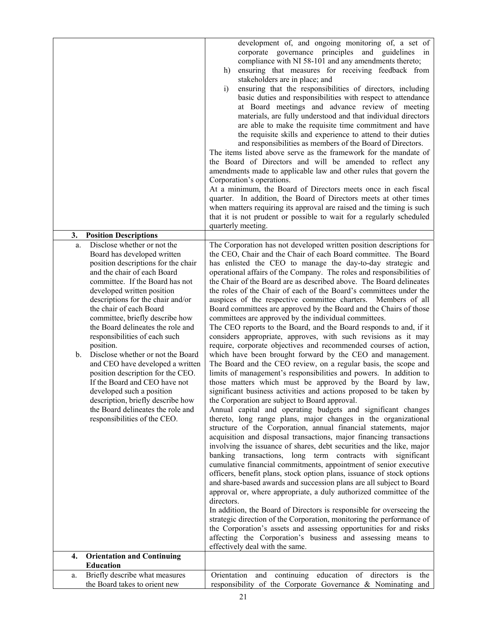|                                                                                                                                                                                                                                                                                                                                                                                                                                                                                                                                                                                                                                                                                                       | development of, and ongoing monitoring of, a set of<br>corporate governance principles and guidelines in<br>compliance with NI 58-101 and any amendments thereto;<br>ensuring that measures for receiving feedback from<br>h)<br>stakeholders are in place; and<br>$\ddot{i}$<br>ensuring that the responsibilities of directors, including<br>basic duties and responsibilities with respect to attendance<br>at Board meetings and advance review of meeting<br>materials, are fully understood and that individual directors<br>are able to make the requisite time commitment and have<br>the requisite skills and experience to attend to their duties<br>and responsibilities as members of the Board of Directors.<br>The items listed above serve as the framework for the mandate of<br>the Board of Directors and will be amended to reflect any<br>amendments made to applicable law and other rules that govern the<br>Corporation's operations.<br>At a minimum, the Board of Directors meets once in each fiscal<br>quarter. In addition, the Board of Directors meets at other times<br>when matters requiring its approval are raised and the timing is such<br>that it is not prudent or possible to wait for a regularly scheduled                                                                                                                                                                                                                                                                                                                                                                                                                                                                                                                                                                                                                                                                                                                                                                                                                                                                                                                                                                                                                                          |
|-------------------------------------------------------------------------------------------------------------------------------------------------------------------------------------------------------------------------------------------------------------------------------------------------------------------------------------------------------------------------------------------------------------------------------------------------------------------------------------------------------------------------------------------------------------------------------------------------------------------------------------------------------------------------------------------------------|-----------------------------------------------------------------------------------------------------------------------------------------------------------------------------------------------------------------------------------------------------------------------------------------------------------------------------------------------------------------------------------------------------------------------------------------------------------------------------------------------------------------------------------------------------------------------------------------------------------------------------------------------------------------------------------------------------------------------------------------------------------------------------------------------------------------------------------------------------------------------------------------------------------------------------------------------------------------------------------------------------------------------------------------------------------------------------------------------------------------------------------------------------------------------------------------------------------------------------------------------------------------------------------------------------------------------------------------------------------------------------------------------------------------------------------------------------------------------------------------------------------------------------------------------------------------------------------------------------------------------------------------------------------------------------------------------------------------------------------------------------------------------------------------------------------------------------------------------------------------------------------------------------------------------------------------------------------------------------------------------------------------------------------------------------------------------------------------------------------------------------------------------------------------------------------------------------------------------------------------------------------------------------------------------|
|                                                                                                                                                                                                                                                                                                                                                                                                                                                                                                                                                                                                                                                                                                       | quarterly meeting.                                                                                                                                                                                                                                                                                                                                                                                                                                                                                                                                                                                                                                                                                                                                                                                                                                                                                                                                                                                                                                                                                                                                                                                                                                                                                                                                                                                                                                                                                                                                                                                                                                                                                                                                                                                                                                                                                                                                                                                                                                                                                                                                                                                                                                                                            |
| <b>Position Descriptions</b><br>3.                                                                                                                                                                                                                                                                                                                                                                                                                                                                                                                                                                                                                                                                    |                                                                                                                                                                                                                                                                                                                                                                                                                                                                                                                                                                                                                                                                                                                                                                                                                                                                                                                                                                                                                                                                                                                                                                                                                                                                                                                                                                                                                                                                                                                                                                                                                                                                                                                                                                                                                                                                                                                                                                                                                                                                                                                                                                                                                                                                                               |
| Disclose whether or not the<br>a.<br>Board has developed written<br>position descriptions for the chair<br>and the chair of each Board<br>committee. If the Board has not<br>developed written position<br>descriptions for the chair and/or<br>the chair of each Board<br>committee, briefly describe how<br>the Board delineates the role and<br>responsibilities of each such<br>position.<br>Disclose whether or not the Board<br>$\mathbf{b}$ .<br>and CEO have developed a written<br>position description for the CEO.<br>If the Board and CEO have not<br>developed such a position<br>description, briefly describe how<br>the Board delineates the role and<br>responsibilities of the CEO. | The Corporation has not developed written position descriptions for<br>the CEO, Chair and the Chair of each Board committee. The Board<br>has enlisted the CEO to manage the day-to-day strategic and<br>operational affairs of the Company. The roles and responsibilities of<br>the Chair of the Board are as described above. The Board delineates<br>the roles of the Chair of each of the Board's committees under the<br>auspices of the respective committee charters. Members of all<br>Board committees are approved by the Board and the Chairs of those<br>committees are approved by the individual committees.<br>The CEO reports to the Board, and the Board responds to and, if it<br>considers appropriate, approves, with such revisions as it may<br>require, corporate objectives and recommended courses of action,<br>which have been brought forward by the CEO and management.<br>The Board and the CEO review, on a regular basis, the scope and<br>limits of management's responsibilities and powers. In addition to<br>those matters which must be approved by the Board by law,<br>significant business activities and actions proposed to be taken by<br>the Corporation are subject to Board approval.<br>Annual capital and operating budgets and significant changes<br>thereto, long range plans, major changes in the organizational<br>structure of the Corporation, annual financial statements, major<br>acquisition and disposal transactions, major financing transactions<br>involving the issuance of shares, debt securities and the like, major<br>banking transactions, long term contracts with significant<br>cumulative financial commitments, appointment of senior executive<br>officers, benefit plans, stock option plans, issuance of stock options<br>and share-based awards and succession plans are all subject to Board<br>approval or, where appropriate, a duly authorized committee of the<br>directors.<br>In addition, the Board of Directors is responsible for overseeing the<br>strategic direction of the Corporation, monitoring the performance of<br>the Corporation's assets and assessing opportunities for and risks<br>affecting the Corporation's business and assessing means to<br>effectively deal with the same. |
| <b>Orientation and Continuing</b><br>4.<br><b>Education</b>                                                                                                                                                                                                                                                                                                                                                                                                                                                                                                                                                                                                                                           |                                                                                                                                                                                                                                                                                                                                                                                                                                                                                                                                                                                                                                                                                                                                                                                                                                                                                                                                                                                                                                                                                                                                                                                                                                                                                                                                                                                                                                                                                                                                                                                                                                                                                                                                                                                                                                                                                                                                                                                                                                                                                                                                                                                                                                                                                               |
| Briefly describe what measures<br>a.                                                                                                                                                                                                                                                                                                                                                                                                                                                                                                                                                                                                                                                                  | Orientation and continuing education of directors is the                                                                                                                                                                                                                                                                                                                                                                                                                                                                                                                                                                                                                                                                                                                                                                                                                                                                                                                                                                                                                                                                                                                                                                                                                                                                                                                                                                                                                                                                                                                                                                                                                                                                                                                                                                                                                                                                                                                                                                                                                                                                                                                                                                                                                                      |
| the Board takes to orient new                                                                                                                                                                                                                                                                                                                                                                                                                                                                                                                                                                                                                                                                         | responsibility of the Corporate Governance & Nominating and                                                                                                                                                                                                                                                                                                                                                                                                                                                                                                                                                                                                                                                                                                                                                                                                                                                                                                                                                                                                                                                                                                                                                                                                                                                                                                                                                                                                                                                                                                                                                                                                                                                                                                                                                                                                                                                                                                                                                                                                                                                                                                                                                                                                                                   |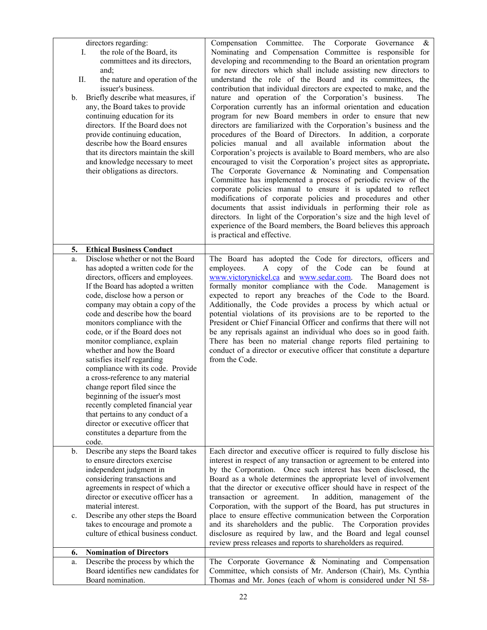| b.       | directors regarding:<br>the role of the Board, its<br>Ι.<br>committees and its directors,<br>and;<br>П.<br>the nature and operation of the<br>issuer's business.<br>Briefly describe what measures, if<br>any, the Board takes to provide<br>continuing education for its<br>directors. If the Board does not<br>provide continuing education,<br>describe how the Board ensures<br>that its directors maintain the skill<br>and knowledge necessary to meet<br>their obligations as directors.                                                                                                                                                                                                                                                                       | Compensation Committee. The Corporate Governance<br>$\&$<br>Nominating and Compensation Committee is responsible for<br>developing and recommending to the Board an orientation program<br>for new directors which shall include assisting new directors to<br>understand the role of the Board and its committees, the<br>contribution that individual directors are expected to make, and the<br>nature and operation of the Corporation's business.<br>The<br>Corporation currently has an informal orientation and education<br>program for new Board members in order to ensure that new<br>directors are familiarized with the Corporation's business and the<br>procedures of the Board of Directors. In addition, a corporate<br>policies manual and all available<br>information about the<br>Corporation's projects is available to Board members, who are also<br>encouraged to visit the Corporation's project sites as appropriate.<br>The Corporate Governance & Nominating and Compensation<br>Committee has implemented a process of periodic review of the<br>corporate policies manual to ensure it is updated to reflect<br>modifications of corporate policies and procedures and other<br>documents that assist individuals in performing their role as<br>directors. In light of the Corporation's size and the high level of<br>experience of the Board members, the Board believes this approach<br>is practical and effective. |
|----------|-----------------------------------------------------------------------------------------------------------------------------------------------------------------------------------------------------------------------------------------------------------------------------------------------------------------------------------------------------------------------------------------------------------------------------------------------------------------------------------------------------------------------------------------------------------------------------------------------------------------------------------------------------------------------------------------------------------------------------------------------------------------------|---------------------------------------------------------------------------------------------------------------------------------------------------------------------------------------------------------------------------------------------------------------------------------------------------------------------------------------------------------------------------------------------------------------------------------------------------------------------------------------------------------------------------------------------------------------------------------------------------------------------------------------------------------------------------------------------------------------------------------------------------------------------------------------------------------------------------------------------------------------------------------------------------------------------------------------------------------------------------------------------------------------------------------------------------------------------------------------------------------------------------------------------------------------------------------------------------------------------------------------------------------------------------------------------------------------------------------------------------------------------------------------------------------------------------------------------------------|
| 5.<br>a. | <b>Ethical Business Conduct</b><br>Disclose whether or not the Board<br>has adopted a written code for the<br>directors, officers and employees.<br>If the Board has adopted a written<br>code, disclose how a person or<br>company may obtain a copy of the<br>code and describe how the board<br>monitors compliance with the<br>code, or if the Board does not<br>monitor compliance, explain<br>whether and how the Board<br>satisfies itself regarding<br>compliance with its code. Provide<br>a cross-reference to any material<br>change report filed since the<br>beginning of the issuer's most<br>recently completed financial year<br>that pertains to any conduct of a<br>director or executive officer that<br>constitutes a departure from the<br>code. | The Board has adopted the Code for directors, officers and<br>employees.<br>copy of the Code<br>found<br>$\mathbf{A}$<br>can<br>be<br>at<br>www.victorynickel.ca and www.sedar.com.<br>The Board does not<br>formally monitor compliance with the Code.<br>Management is<br>expected to report any breaches of the Code to the Board.<br>Additionally, the Code provides a process by which actual or<br>potential violations of its provisions are to be reported to the<br>President or Chief Financial Officer and confirms that there will not<br>be any reprisals against an individual who does so in good faith.<br>There has been no material change reports filed pertaining to<br>conduct of a director or executive officer that constitute a departure<br>from the Code.                                                                                                                                                                                                                                                                                                                                                                                                                                                                                                                                                                                                                                                                    |
| b.<br>c. | Describe any steps the Board takes<br>to ensure directors exercise<br>independent judgment in<br>considering transactions and<br>agreements in respect of which a<br>director or executive officer has a<br>material interest.<br>Describe any other steps the Board<br>takes to encourage and promote a                                                                                                                                                                                                                                                                                                                                                                                                                                                              | Each director and executive officer is required to fully disclose his<br>interest in respect of any transaction or agreement to be entered into<br>by the Corporation. Once such interest has been disclosed, the<br>Board as a whole determines the appropriate level of involvement<br>that the director or executive officer should have in respect of the<br>In addition, management of the<br>transaction or agreement.<br>Corporation, with the support of the Board, has put structures in<br>place to ensure effective communication between the Corporation<br>and its shareholders and the public. The Corporation provides                                                                                                                                                                                                                                                                                                                                                                                                                                                                                                                                                                                                                                                                                                                                                                                                                   |
|          | culture of ethical business conduct.                                                                                                                                                                                                                                                                                                                                                                                                                                                                                                                                                                                                                                                                                                                                  | disclosure as required by law, and the Board and legal counsel<br>review press releases and reports to shareholders as required.                                                                                                                                                                                                                                                                                                                                                                                                                                                                                                                                                                                                                                                                                                                                                                                                                                                                                                                                                                                                                                                                                                                                                                                                                                                                                                                        |
| 6.       | <b>Nomination of Directors</b>                                                                                                                                                                                                                                                                                                                                                                                                                                                                                                                                                                                                                                                                                                                                        |                                                                                                                                                                                                                                                                                                                                                                                                                                                                                                                                                                                                                                                                                                                                                                                                                                                                                                                                                                                                                                                                                                                                                                                                                                                                                                                                                                                                                                                         |
| a.       | Describe the process by which the                                                                                                                                                                                                                                                                                                                                                                                                                                                                                                                                                                                                                                                                                                                                     | The Corporate Governance & Nominating and Compensation                                                                                                                                                                                                                                                                                                                                                                                                                                                                                                                                                                                                                                                                                                                                                                                                                                                                                                                                                                                                                                                                                                                                                                                                                                                                                                                                                                                                  |
|          | Board identifies new candidates for<br>Board nomination.                                                                                                                                                                                                                                                                                                                                                                                                                                                                                                                                                                                                                                                                                                              | Committee, which consists of Mr. Anderson (Chair), Ms. Cynthia<br>Thomas and Mr. Jones (each of whom is considered under NI 58-                                                                                                                                                                                                                                                                                                                                                                                                                                                                                                                                                                                                                                                                                                                                                                                                                                                                                                                                                                                                                                                                                                                                                                                                                                                                                                                         |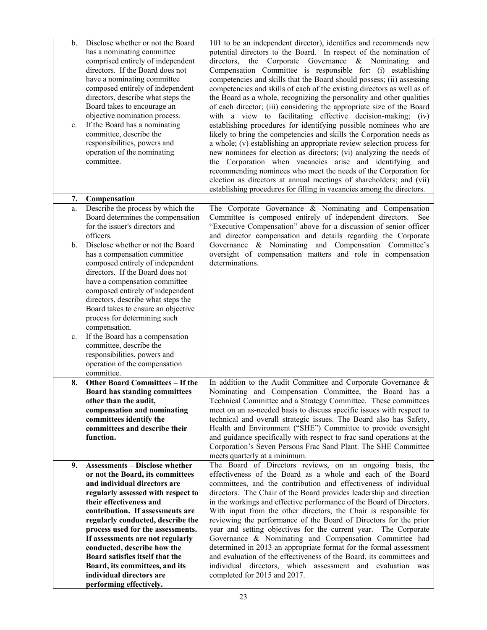| b.<br>c. | Disclose whether or not the Board<br>has a nominating committee<br>comprised entirely of independent<br>directors. If the Board does not<br>have a nominating committee<br>composed entirely of independent<br>directors, describe what steps the<br>Board takes to encourage an<br>objective nomination process.<br>If the Board has a nominating<br>committee, describe the<br>responsibilities, powers and<br>operation of the nominating<br>committee. | 101 to be an independent director), identifies and recommends new<br>potential directors to the Board. In respect of the nomination of<br>Corporate Governance & Nominating<br>directors, the<br>and<br>Compensation Committee is responsible for: (i) establishing<br>competencies and skills that the Board should possess; (ii) assessing<br>competencies and skills of each of the existing directors as well as of<br>the Board as a whole, recognizing the personality and other qualities<br>of each director; (iii) considering the appropriate size of the Board<br>with a view to facilitating effective decision-making; (iv)<br>establishing procedures for identifying possible nominees who are<br>likely to bring the competencies and skills the Corporation needs as<br>a whole; (v) establishing an appropriate review selection process for<br>new nominees for election as directors; (vi) analyzing the needs of<br>the Corporation when vacancies arise and identifying and<br>recommending nominees who meet the needs of the Corporation for<br>election as directors at annual meetings of shareholders; and (vii)<br>establishing procedures for filling in vacancies among the directors. |
|----------|------------------------------------------------------------------------------------------------------------------------------------------------------------------------------------------------------------------------------------------------------------------------------------------------------------------------------------------------------------------------------------------------------------------------------------------------------------|----------------------------------------------------------------------------------------------------------------------------------------------------------------------------------------------------------------------------------------------------------------------------------------------------------------------------------------------------------------------------------------------------------------------------------------------------------------------------------------------------------------------------------------------------------------------------------------------------------------------------------------------------------------------------------------------------------------------------------------------------------------------------------------------------------------------------------------------------------------------------------------------------------------------------------------------------------------------------------------------------------------------------------------------------------------------------------------------------------------------------------------------------------------------------------------------------------------------|
| 7.       | Compensation                                                                                                                                                                                                                                                                                                                                                                                                                                               |                                                                                                                                                                                                                                                                                                                                                                                                                                                                                                                                                                                                                                                                                                                                                                                                                                                                                                                                                                                                                                                                                                                                                                                                                      |
| a.<br>b. | Describe the process by which the<br>Board determines the compensation<br>for the issuer's directors and<br>officers.<br>Disclose whether or not the Board                                                                                                                                                                                                                                                                                                 | The Corporate Governance & Nominating and Compensation<br>Committee is composed entirely of independent directors.<br>See<br>"Executive Compensation" above for a discussion of senior officer<br>and director compensation and details regarding the Corporate<br>Governance & Nominating and Compensation Committee's                                                                                                                                                                                                                                                                                                                                                                                                                                                                                                                                                                                                                                                                                                                                                                                                                                                                                              |
|          | has a compensation committee<br>composed entirely of independent<br>directors. If the Board does not<br>have a compensation committee<br>composed entirely of independent<br>directors, describe what steps the<br>Board takes to ensure an objective<br>process for determining such<br>compensation.                                                                                                                                                     | oversight of compensation matters and role in compensation<br>determinations.                                                                                                                                                                                                                                                                                                                                                                                                                                                                                                                                                                                                                                                                                                                                                                                                                                                                                                                                                                                                                                                                                                                                        |
| c.       | If the Board has a compensation<br>committee, describe the<br>responsibilities, powers and<br>operation of the compensation<br>committee.                                                                                                                                                                                                                                                                                                                  |                                                                                                                                                                                                                                                                                                                                                                                                                                                                                                                                                                                                                                                                                                                                                                                                                                                                                                                                                                                                                                                                                                                                                                                                                      |
| 8.       | <b>Other Board Committees - If the</b>                                                                                                                                                                                                                                                                                                                                                                                                                     | In addition to the Audit Committee and Corporate Governance $\&$                                                                                                                                                                                                                                                                                                                                                                                                                                                                                                                                                                                                                                                                                                                                                                                                                                                                                                                                                                                                                                                                                                                                                     |
|          | <b>Board has standing committees</b>                                                                                                                                                                                                                                                                                                                                                                                                                       | Nominating and Compensation Committee, the Board has a                                                                                                                                                                                                                                                                                                                                                                                                                                                                                                                                                                                                                                                                                                                                                                                                                                                                                                                                                                                                                                                                                                                                                               |
|          | other than the audit,                                                                                                                                                                                                                                                                                                                                                                                                                                      | Technical Committee and a Strategy Committee. These committees                                                                                                                                                                                                                                                                                                                                                                                                                                                                                                                                                                                                                                                                                                                                                                                                                                                                                                                                                                                                                                                                                                                                                       |
|          | compensation and nominating<br>committees identify the                                                                                                                                                                                                                                                                                                                                                                                                     | meet on an as-needed basis to discuss specific issues with respect to<br>technical and overall strategic issues. The Board also has Safety,                                                                                                                                                                                                                                                                                                                                                                                                                                                                                                                                                                                                                                                                                                                                                                                                                                                                                                                                                                                                                                                                          |
|          | committees and describe their                                                                                                                                                                                                                                                                                                                                                                                                                              | Health and Environment ("SHE") Committee to provide oversight                                                                                                                                                                                                                                                                                                                                                                                                                                                                                                                                                                                                                                                                                                                                                                                                                                                                                                                                                                                                                                                                                                                                                        |
|          | function.                                                                                                                                                                                                                                                                                                                                                                                                                                                  | and guidance specifically with respect to frac sand operations at the<br>Corporation's Seven Persons Frac Sand Plant. The SHE Committee<br>meets quarterly at a minimum.                                                                                                                                                                                                                                                                                                                                                                                                                                                                                                                                                                                                                                                                                                                                                                                                                                                                                                                                                                                                                                             |
| 9.       | <b>Assessments - Disclose whether</b>                                                                                                                                                                                                                                                                                                                                                                                                                      | The Board of Directors reviews, on an ongoing basis, the                                                                                                                                                                                                                                                                                                                                                                                                                                                                                                                                                                                                                                                                                                                                                                                                                                                                                                                                                                                                                                                                                                                                                             |
|          | or not the Board, its committees                                                                                                                                                                                                                                                                                                                                                                                                                           | effectiveness of the Board as a whole and each of the Board                                                                                                                                                                                                                                                                                                                                                                                                                                                                                                                                                                                                                                                                                                                                                                                                                                                                                                                                                                                                                                                                                                                                                          |
|          | and individual directors are                                                                                                                                                                                                                                                                                                                                                                                                                               | committees, and the contribution and effectiveness of individual<br>directors. The Chair of the Board provides leadership and direction                                                                                                                                                                                                                                                                                                                                                                                                                                                                                                                                                                                                                                                                                                                                                                                                                                                                                                                                                                                                                                                                              |
|          | regularly assessed with respect to<br>their effectiveness and                                                                                                                                                                                                                                                                                                                                                                                              | in the workings and effective performance of the Board of Directors.                                                                                                                                                                                                                                                                                                                                                                                                                                                                                                                                                                                                                                                                                                                                                                                                                                                                                                                                                                                                                                                                                                                                                 |
|          | contribution. If assessments are                                                                                                                                                                                                                                                                                                                                                                                                                           | With input from the other directors, the Chair is responsible for                                                                                                                                                                                                                                                                                                                                                                                                                                                                                                                                                                                                                                                                                                                                                                                                                                                                                                                                                                                                                                                                                                                                                    |
|          | regularly conducted, describe the                                                                                                                                                                                                                                                                                                                                                                                                                          | reviewing the performance of the Board of Directors for the prior                                                                                                                                                                                                                                                                                                                                                                                                                                                                                                                                                                                                                                                                                                                                                                                                                                                                                                                                                                                                                                                                                                                                                    |
|          | process used for the assessments.                                                                                                                                                                                                                                                                                                                                                                                                                          | year and setting objectives for the current year. The Corporate                                                                                                                                                                                                                                                                                                                                                                                                                                                                                                                                                                                                                                                                                                                                                                                                                                                                                                                                                                                                                                                                                                                                                      |
|          | If assessments are not regularly<br>conducted, describe how the                                                                                                                                                                                                                                                                                                                                                                                            | Governance & Nominating and Compensation Committee had<br>determined in 2013 an appropriate format for the formal assessment                                                                                                                                                                                                                                                                                                                                                                                                                                                                                                                                                                                                                                                                                                                                                                                                                                                                                                                                                                                                                                                                                         |
|          | Board satisfies itself that the                                                                                                                                                                                                                                                                                                                                                                                                                            | and evaluation of the effectiveness of the Board, its committees and                                                                                                                                                                                                                                                                                                                                                                                                                                                                                                                                                                                                                                                                                                                                                                                                                                                                                                                                                                                                                                                                                                                                                 |
|          | Board, its committees, and its                                                                                                                                                                                                                                                                                                                                                                                                                             | individual directors, which assessment and evaluation was                                                                                                                                                                                                                                                                                                                                                                                                                                                                                                                                                                                                                                                                                                                                                                                                                                                                                                                                                                                                                                                                                                                                                            |
|          | individual directors are                                                                                                                                                                                                                                                                                                                                                                                                                                   | completed for 2015 and 2017.                                                                                                                                                                                                                                                                                                                                                                                                                                                                                                                                                                                                                                                                                                                                                                                                                                                                                                                                                                                                                                                                                                                                                                                         |
|          | performing effectively.                                                                                                                                                                                                                                                                                                                                                                                                                                    |                                                                                                                                                                                                                                                                                                                                                                                                                                                                                                                                                                                                                                                                                                                                                                                                                                                                                                                                                                                                                                                                                                                                                                                                                      |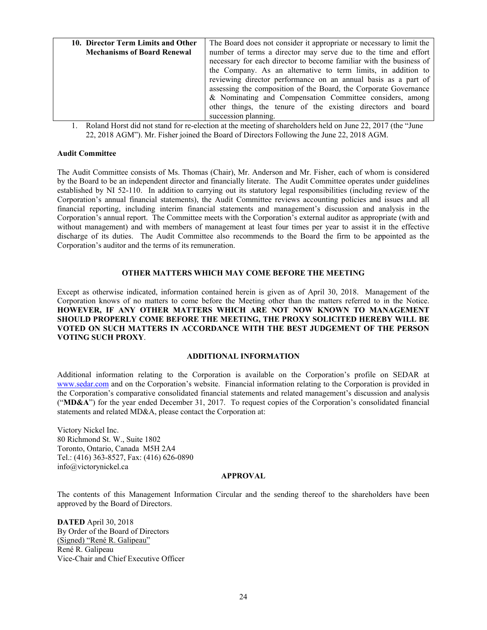| 10. Director Term Limits and Other | The Board does not consider it appropriate or necessary to limit the |
|------------------------------------|----------------------------------------------------------------------|
| <b>Mechanisms of Board Renewal</b> | number of terms a director may serve due to the time and effort      |
|                                    | necessary for each director to become familiar with the business of  |
|                                    | the Company. As an alternative to term limits, in addition to        |
|                                    | reviewing director performance on an annual basis as a part of       |
|                                    | assessing the composition of the Board, the Corporate Governance     |
|                                    | & Nominating and Compensation Committee considers, among             |
|                                    | other things, the tenure of the existing directors and board         |
|                                    | succession planning.                                                 |

1. Roland Horst did not stand for re-election at the meeting of shareholders held on June 22, 2017 (the "June 22, 2018 AGM"). Mr. Fisher joined the Board of Directors Following the June 22, 2018 AGM.

## **Audit Committee**

The Audit Committee consists of Ms. Thomas (Chair), Mr. Anderson and Mr. Fisher, each of whom is considered by the Board to be an independent director and financially literate. The Audit Committee operates under guidelines established by NI 52-110. In addition to carrying out its statutory legal responsibilities (including review of the Corporation's annual financial statements), the Audit Committee reviews accounting policies and issues and all financial reporting, including interim financial statements and management's discussion and analysis in the Corporation's annual report. The Committee meets with the Corporation's external auditor as appropriate (with and without management) and with members of management at least four times per year to assist it in the effective discharge of its duties. The Audit Committee also recommends to the Board the firm to be appointed as the Corporation's auditor and the terms of its remuneration.

## **OTHER MATTERS WHICH MAY COME BEFORE THE MEETING**

Except as otherwise indicated, information contained herein is given as of April 30, 2018. Management of the Corporation knows of no matters to come before the Meeting other than the matters referred to in the Notice. **HOWEVER, IF ANY OTHER MATTERS WHICH ARE NOT NOW KNOWN TO MANAGEMENT SHOULD PROPERLY COME BEFORE THE MEETING, THE PROXY SOLICITED HEREBY WILL BE VOTED ON SUCH MATTERS IN ACCORDANCE WITH THE BEST JUDGEMENT OF THE PERSON VOTING SUCH PROXY**.

## **ADDITIONAL INFORMATION**

Additional information relating to the Corporation is available on the Corporation's profile on SEDAR at www.sedar.com and on the Corporation's website. Financial information relating to the Corporation is provided in the Corporation's comparative consolidated financial statements and related management's discussion and analysis ("**MD&A**") for the year ended December 31, 2017. To request copies of the Corporation's consolidated financial statements and related MD&A, please contact the Corporation at:

Victory Nickel Inc. 80 Richmond St. W., Suite 1802 Toronto, Ontario, Canada M5H 2A4 Tel.: (416) 363-8527, Fax: (416) 626-0890 info@victorynickel.ca

## **APPROVAL**

The contents of this Management Information Circular and the sending thereof to the shareholders have been approved by the Board of Directors.

**DATED** April 30, 2018 By Order of the Board of Directors (Signed) "René R. Galipeau" René R. Galipeau Vice-Chair and Chief Executive Officer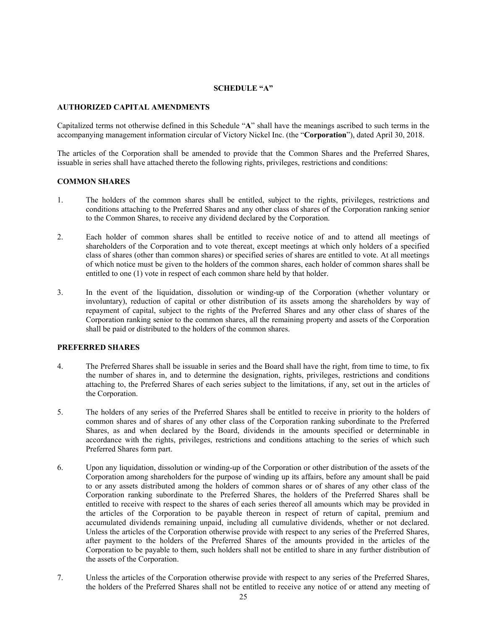## **SCHEDULE "A"**

## **AUTHORIZED CAPITAL AMENDMENTS**

Capitalized terms not otherwise defined in this Schedule "**A**" shall have the meanings ascribed to such terms in the accompanying management information circular of Victory Nickel Inc. (the "**Corporation**"), dated April 30, 2018.

The articles of the Corporation shall be amended to provide that the Common Shares and the Preferred Shares, issuable in series shall have attached thereto the following rights, privileges, restrictions and conditions:

## **COMMON SHARES**

- 1. The holders of the common shares shall be entitled, subject to the rights, privileges, restrictions and conditions attaching to the Preferred Shares and any other class of shares of the Corporation ranking senior to the Common Shares, to receive any dividend declared by the Corporation.
- 2. Each holder of common shares shall be entitled to receive notice of and to attend all meetings of shareholders of the Corporation and to vote thereat, except meetings at which only holders of a specified class of shares (other than common shares) or specified series of shares are entitled to vote. At all meetings of which notice must be given to the holders of the common shares, each holder of common shares shall be entitled to one (1) vote in respect of each common share held by that holder.
- 3. In the event of the liquidation, dissolution or winding-up of the Corporation (whether voluntary or involuntary), reduction of capital or other distribution of its assets among the shareholders by way of repayment of capital, subject to the rights of the Preferred Shares and any other class of shares of the Corporation ranking senior to the common shares, all the remaining property and assets of the Corporation shall be paid or distributed to the holders of the common shares.

## **PREFERRED SHARES**

- 4. The Preferred Shares shall be issuable in series and the Board shall have the right, from time to time, to fix the number of shares in, and to determine the designation, rights, privileges, restrictions and conditions attaching to, the Preferred Shares of each series subject to the limitations, if any, set out in the articles of the Corporation.
- 5. The holders of any series of the Preferred Shares shall be entitled to receive in priority to the holders of common shares and of shares of any other class of the Corporation ranking subordinate to the Preferred Shares, as and when declared by the Board, dividends in the amounts specified or determinable in accordance with the rights, privileges, restrictions and conditions attaching to the series of which such Preferred Shares form part.
- 6. Upon any liquidation, dissolution or winding-up of the Corporation or other distribution of the assets of the Corporation among shareholders for the purpose of winding up its affairs, before any amount shall be paid to or any assets distributed among the holders of common shares or of shares of any other class of the Corporation ranking subordinate to the Preferred Shares, the holders of the Preferred Shares shall be entitled to receive with respect to the shares of each series thereof all amounts which may be provided in the articles of the Corporation to be payable thereon in respect of return of capital, premium and accumulated dividends remaining unpaid, including all cumulative dividends, whether or not declared. Unless the articles of the Corporation otherwise provide with respect to any series of the Preferred Shares, after payment to the holders of the Preferred Shares of the amounts provided in the articles of the Corporation to be payable to them, such holders shall not be entitled to share in any further distribution of the assets of the Corporation.
- 7. Unless the articles of the Corporation otherwise provide with respect to any series of the Preferred Shares, the holders of the Preferred Shares shall not be entitled to receive any notice of or attend any meeting of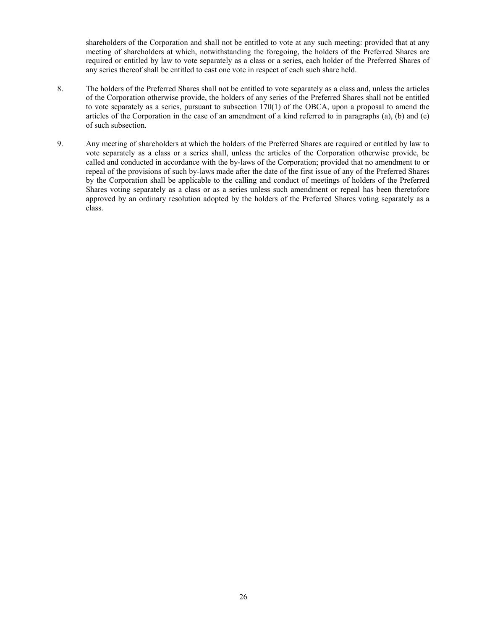shareholders of the Corporation and shall not be entitled to vote at any such meeting: provided that at any meeting of shareholders at which, notwithstanding the foregoing, the holders of the Preferred Shares are required or entitled by law to vote separately as a class or a series, each holder of the Preferred Shares of any series thereof shall be entitled to cast one vote in respect of each such share held.

- 8. The holders of the Preferred Shares shall not be entitled to vote separately as a class and, unless the articles of the Corporation otherwise provide, the holders of any series of the Preferred Shares shall not be entitled to vote separately as a series, pursuant to subsection 170(1) of the OBCA, upon a proposal to amend the articles of the Corporation in the case of an amendment of a kind referred to in paragraphs (a), (b) and (e) of such subsection.
- 9. Any meeting of shareholders at which the holders of the Preferred Shares are required or entitled by law to vote separately as a class or a series shall, unless the articles of the Corporation otherwise provide, be called and conducted in accordance with the by-laws of the Corporation; provided that no amendment to or repeal of the provisions of such by-laws made after the date of the first issue of any of the Preferred Shares by the Corporation shall be applicable to the calling and conduct of meetings of holders of the Preferred Shares voting separately as a class or as a series unless such amendment or repeal has been theretofore approved by an ordinary resolution adopted by the holders of the Preferred Shares voting separately as a class.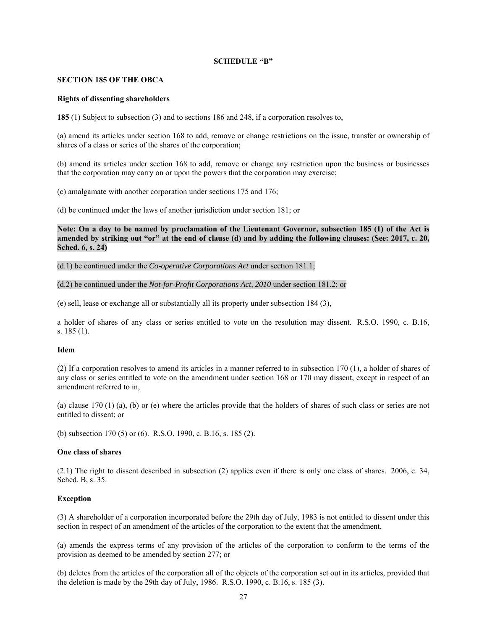## **SCHEDULE "B"**

#### **SECTION 185 OF THE OBCA**

#### **Rights of dissenting shareholders**

**185** (1) Subject to subsection (3) and to sections 186 and 248, if a corporation resolves to,

(a) amend its articles under section 168 to add, remove or change restrictions on the issue, transfer or ownership of shares of a class or series of the shares of the corporation;

(b) amend its articles under section 168 to add, remove or change any restriction upon the business or businesses that the corporation may carry on or upon the powers that the corporation may exercise;

(c) amalgamate with another corporation under sections 175 and 176;

(d) be continued under the laws of another jurisdiction under section 181; or

**Note: On a day to be named by proclamation of the Lieutenant Governor, subsection 185 (1) of the Act is amended by striking out "or" at the end of clause (d) and by adding the following clauses: (See: 2017, c. 20, Sched. 6, s. 24)** 

(d.1) be continued under the *Co-operative Corporations Act* under section 181.1;

(d.2) be continued under the *Not-for-Profit Corporations Act, 2010* under section 181.2; or

(e) sell, lease or exchange all or substantially all its property under subsection 184 (3),

a holder of shares of any class or series entitled to vote on the resolution may dissent. R.S.O. 1990, c. B.16, s. 185 (1).

#### **Idem**

(2) If a corporation resolves to amend its articles in a manner referred to in subsection 170 (1), a holder of shares of any class or series entitled to vote on the amendment under section 168 or 170 may dissent, except in respect of an amendment referred to in,

(a) clause 170 (1) (a), (b) or (e) where the articles provide that the holders of shares of such class or series are not entitled to dissent; or

(b) subsection 170 (5) or (6). R.S.O. 1990, c. B.16, s. 185 (2).

## **One class of shares**

(2.1) The right to dissent described in subsection (2) applies even if there is only one class of shares. 2006, c. 34, Sched. B, s. 35.

## **Exception**

(3) A shareholder of a corporation incorporated before the 29th day of July, 1983 is not entitled to dissent under this section in respect of an amendment of the articles of the corporation to the extent that the amendment,

(a) amends the express terms of any provision of the articles of the corporation to conform to the terms of the provision as deemed to be amended by section 277; or

(b) deletes from the articles of the corporation all of the objects of the corporation set out in its articles, provided that the deletion is made by the 29th day of July, 1986. R.S.O. 1990, c. B.16, s. 185 (3).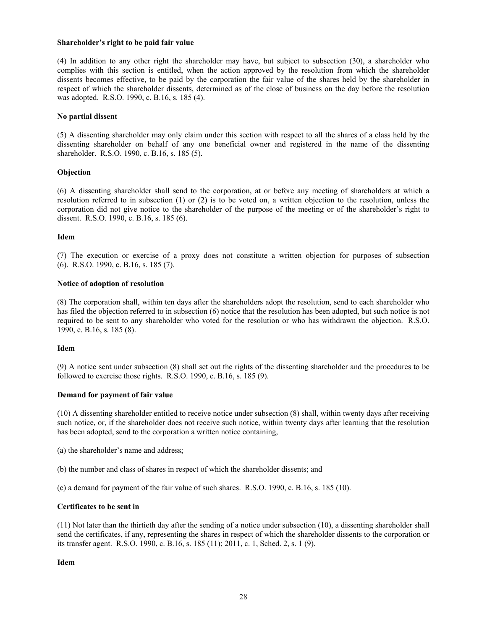#### **Shareholder's right to be paid fair value**

(4) In addition to any other right the shareholder may have, but subject to subsection (30), a shareholder who complies with this section is entitled, when the action approved by the resolution from which the shareholder dissents becomes effective, to be paid by the corporation the fair value of the shares held by the shareholder in respect of which the shareholder dissents, determined as of the close of business on the day before the resolution was adopted. R.S.O. 1990, c. B.16, s. 185 (4).

## **No partial dissent**

(5) A dissenting shareholder may only claim under this section with respect to all the shares of a class held by the dissenting shareholder on behalf of any one beneficial owner and registered in the name of the dissenting shareholder. R.S.O. 1990, c. B.16, s. 185 (5).

## **Objection**

(6) A dissenting shareholder shall send to the corporation, at or before any meeting of shareholders at which a resolution referred to in subsection (1) or (2) is to be voted on, a written objection to the resolution, unless the corporation did not give notice to the shareholder of the purpose of the meeting or of the shareholder's right to dissent. R.S.O. 1990, c. B.16, s. 185 (6).

## **Idem**

(7) The execution or exercise of a proxy does not constitute a written objection for purposes of subsection (6). R.S.O. 1990, c. B.16, s. 185 (7).

## **Notice of adoption of resolution**

(8) The corporation shall, within ten days after the shareholders adopt the resolution, send to each shareholder who has filed the objection referred to in subsection (6) notice that the resolution has been adopted, but such notice is not required to be sent to any shareholder who voted for the resolution or who has withdrawn the objection. R.S.O. 1990, c. B.16, s. 185 (8).

## **Idem**

(9) A notice sent under subsection (8) shall set out the rights of the dissenting shareholder and the procedures to be followed to exercise those rights. R.S.O. 1990, c. B.16, s. 185 (9).

## **Demand for payment of fair value**

(10) A dissenting shareholder entitled to receive notice under subsection (8) shall, within twenty days after receiving such notice, or, if the shareholder does not receive such notice, within twenty days after learning that the resolution has been adopted, send to the corporation a written notice containing,

- (a) the shareholder's name and address;
- (b) the number and class of shares in respect of which the shareholder dissents; and

(c) a demand for payment of the fair value of such shares. R.S.O. 1990, c. B.16, s. 185 (10).

## **Certificates to be sent in**

(11) Not later than the thirtieth day after the sending of a notice under subsection (10), a dissenting shareholder shall send the certificates, if any, representing the shares in respect of which the shareholder dissents to the corporation or its transfer agent. R.S.O. 1990, c. B.16, s. 185 (11); 2011, c. 1, Sched. 2, s. 1 (9).

## **Idem**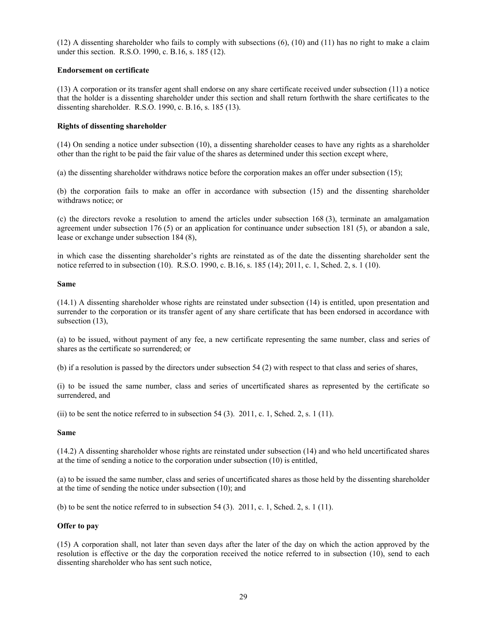(12) A dissenting shareholder who fails to comply with subsections (6), (10) and (11) has no right to make a claim under this section. R.S.O. 1990, c. B.16, s. 185 (12).

## **Endorsement on certificate**

(13) A corporation or its transfer agent shall endorse on any share certificate received under subsection (11) a notice that the holder is a dissenting shareholder under this section and shall return forthwith the share certificates to the dissenting shareholder. R.S.O. 1990, c. B.16, s. 185 (13).

## **Rights of dissenting shareholder**

(14) On sending a notice under subsection (10), a dissenting shareholder ceases to have any rights as a shareholder other than the right to be paid the fair value of the shares as determined under this section except where,

(a) the dissenting shareholder withdraws notice before the corporation makes an offer under subsection (15);

(b) the corporation fails to make an offer in accordance with subsection (15) and the dissenting shareholder withdraws notice; or

(c) the directors revoke a resolution to amend the articles under subsection 168 (3), terminate an amalgamation agreement under subsection 176 (5) or an application for continuance under subsection 181 (5), or abandon a sale, lease or exchange under subsection 184 (8),

in which case the dissenting shareholder's rights are reinstated as of the date the dissenting shareholder sent the notice referred to in subsection (10). R.S.O. 1990, c. B.16, s. 185 (14); 2011, c. 1, Sched. 2, s. 1 (10).

## **Same**

(14.1) A dissenting shareholder whose rights are reinstated under subsection (14) is entitled, upon presentation and surrender to the corporation or its transfer agent of any share certificate that has been endorsed in accordance with subsection (13),

(a) to be issued, without payment of any fee, a new certificate representing the same number, class and series of shares as the certificate so surrendered; or

(b) if a resolution is passed by the directors under subsection 54 (2) with respect to that class and series of shares,

(i) to be issued the same number, class and series of uncertificated shares as represented by the certificate so surrendered, and

(ii) to be sent the notice referred to in subsection 54 (3). 2011, c. 1, Sched. 2, s. 1 (11).

## **Same**

(14.2) A dissenting shareholder whose rights are reinstated under subsection (14) and who held uncertificated shares at the time of sending a notice to the corporation under subsection (10) is entitled,

(a) to be issued the same number, class and series of uncertificated shares as those held by the dissenting shareholder at the time of sending the notice under subsection (10); and

(b) to be sent the notice referred to in subsection  $54$  (3). 2011, c. 1, Sched. 2, s. 1 (11).

## **Offer to pay**

(15) A corporation shall, not later than seven days after the later of the day on which the action approved by the resolution is effective or the day the corporation received the notice referred to in subsection (10), send to each dissenting shareholder who has sent such notice,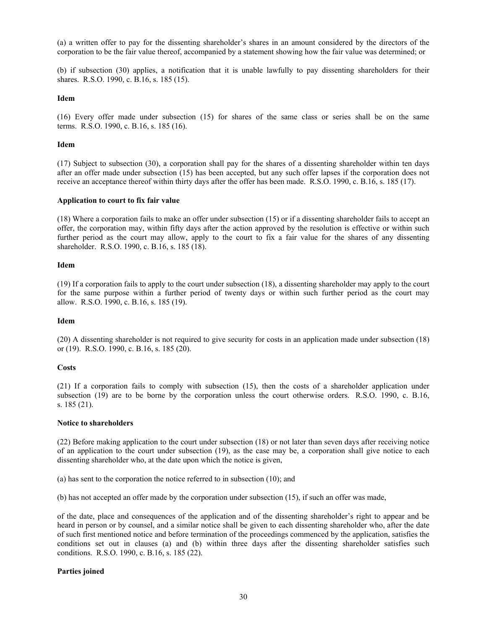(a) a written offer to pay for the dissenting shareholder's shares in an amount considered by the directors of the corporation to be the fair value thereof, accompanied by a statement showing how the fair value was determined; or

(b) if subsection (30) applies, a notification that it is unable lawfully to pay dissenting shareholders for their shares. R.S.O. 1990, c. B.16, s. 185 (15).

## **Idem**

(16) Every offer made under subsection (15) for shares of the same class or series shall be on the same terms. R.S.O. 1990, c. B.16, s. 185 (16).

#### **Idem**

(17) Subject to subsection (30), a corporation shall pay for the shares of a dissenting shareholder within ten days after an offer made under subsection (15) has been accepted, but any such offer lapses if the corporation does not receive an acceptance thereof within thirty days after the offer has been made. R.S.O. 1990, c. B.16, s. 185 (17).

#### **Application to court to fix fair value**

(18) Where a corporation fails to make an offer under subsection (15) or if a dissenting shareholder fails to accept an offer, the corporation may, within fifty days after the action approved by the resolution is effective or within such further period as the court may allow, apply to the court to fix a fair value for the shares of any dissenting shareholder. R.S.O. 1990, c. B.16, s. 185 (18).

#### **Idem**

(19) If a corporation fails to apply to the court under subsection (18), a dissenting shareholder may apply to the court for the same purpose within a further period of twenty days or within such further period as the court may allow. R.S.O. 1990, c. B.16, s. 185 (19).

## **Idem**

(20) A dissenting shareholder is not required to give security for costs in an application made under subsection (18) or (19). R.S.O. 1990, c. B.16, s. 185 (20).

## **Costs**

(21) If a corporation fails to comply with subsection (15), then the costs of a shareholder application under subsection (19) are to be borne by the corporation unless the court otherwise orders. R.S.O. 1990, c. B.16, s. 185 (21).

#### **Notice to shareholders**

(22) Before making application to the court under subsection (18) or not later than seven days after receiving notice of an application to the court under subsection (19), as the case may be, a corporation shall give notice to each dissenting shareholder who, at the date upon which the notice is given,

(a) has sent to the corporation the notice referred to in subsection (10); and

(b) has not accepted an offer made by the corporation under subsection (15), if such an offer was made,

of the date, place and consequences of the application and of the dissenting shareholder's right to appear and be heard in person or by counsel, and a similar notice shall be given to each dissenting shareholder who, after the date of such first mentioned notice and before termination of the proceedings commenced by the application, satisfies the conditions set out in clauses (a) and (b) within three days after the dissenting shareholder satisfies such conditions. R.S.O. 1990, c. B.16, s. 185 (22).

## **Parties joined**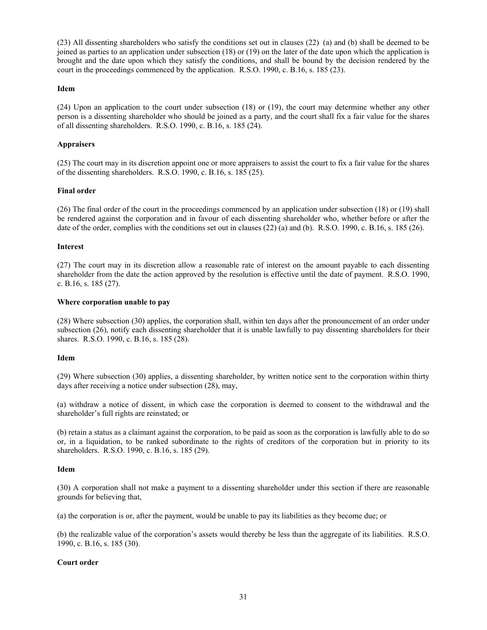(23) All dissenting shareholders who satisfy the conditions set out in clauses (22) (a) and (b) shall be deemed to be joined as parties to an application under subsection (18) or (19) on the later of the date upon which the application is brought and the date upon which they satisfy the conditions, and shall be bound by the decision rendered by the court in the proceedings commenced by the application. R.S.O. 1990, c. B.16, s. 185 (23).

## **Idem**

(24) Upon an application to the court under subsection (18) or (19), the court may determine whether any other person is a dissenting shareholder who should be joined as a party, and the court shall fix a fair value for the shares of all dissenting shareholders. R.S.O. 1990, c. B.16, s. 185 (24).

## **Appraisers**

(25) The court may in its discretion appoint one or more appraisers to assist the court to fix a fair value for the shares of the dissenting shareholders. R.S.O. 1990, c. B.16, s. 185 (25).

## **Final order**

(26) The final order of the court in the proceedings commenced by an application under subsection (18) or (19) shall be rendered against the corporation and in favour of each dissenting shareholder who, whether before or after the date of the order, complies with the conditions set out in clauses (22) (a) and (b). R.S.O. 1990, c. B.16, s. 185 (26).

## **Interest**

(27) The court may in its discretion allow a reasonable rate of interest on the amount payable to each dissenting shareholder from the date the action approved by the resolution is effective until the date of payment. R.S.O. 1990, c. B.16, s. 185 (27).

## **Where corporation unable to pay**

(28) Where subsection (30) applies, the corporation shall, within ten days after the pronouncement of an order under subsection (26), notify each dissenting shareholder that it is unable lawfully to pay dissenting shareholders for their shares. R.S.O. 1990, c. B.16, s. 185 (28).

## **Idem**

(29) Where subsection (30) applies, a dissenting shareholder, by written notice sent to the corporation within thirty days after receiving a notice under subsection (28), may,

(a) withdraw a notice of dissent, in which case the corporation is deemed to consent to the withdrawal and the shareholder's full rights are reinstated; or

(b) retain a status as a claimant against the corporation, to be paid as soon as the corporation is lawfully able to do so or, in a liquidation, to be ranked subordinate to the rights of creditors of the corporation but in priority to its shareholders. R.S.O. 1990, c. B.16, s. 185 (29).

## **Idem**

(30) A corporation shall not make a payment to a dissenting shareholder under this section if there are reasonable grounds for believing that,

(a) the corporation is or, after the payment, would be unable to pay its liabilities as they become due; or

(b) the realizable value of the corporation's assets would thereby be less than the aggregate of its liabilities. R.S.O. 1990, c. B.16, s. 185 (30).

## **Court order**